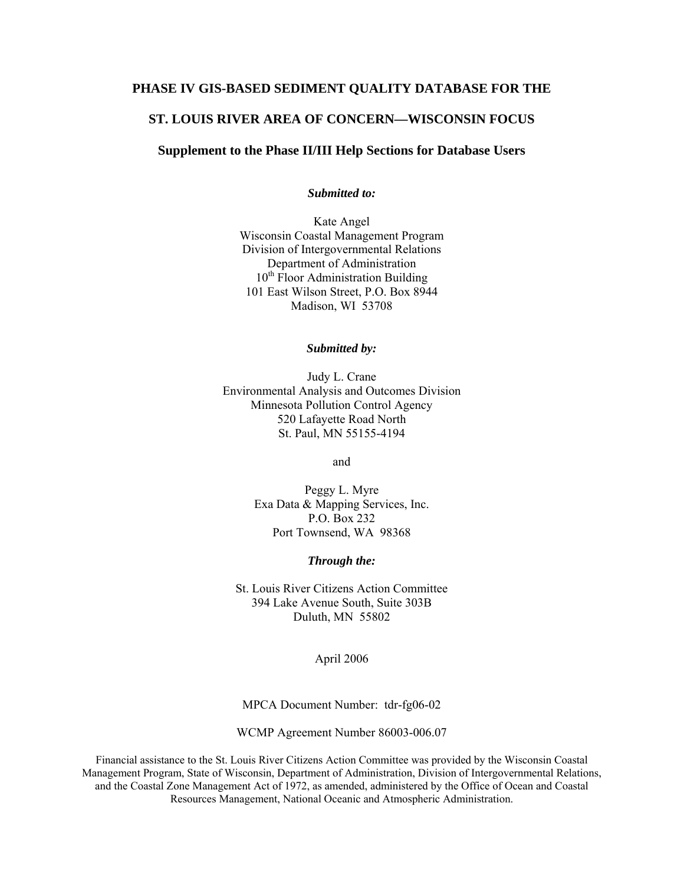#### **PHASE IV GIS-BASED SEDIMENT QUALITY DATABASE FOR THE**

#### **ST. LOUIS RIVER AREA OF CONCERN—WISCONSIN FOCUS**

#### **Supplement to the Phase II/III Help Sections for Database Users**

*Submitted to:* 

Kate Angel Wisconsin Coastal Management Program Division of Intergovernmental Relations Department of Administration 10<sup>th</sup> Floor Administration Building 101 East Wilson Street, P.O. Box 8944 Madison, WI 53708

*Submitted by:* 

Judy L. Crane Environmental Analysis and Outcomes Division Minnesota Pollution Control Agency 520 Lafayette Road North St. Paul, MN 55155-4194

and

Peggy L. Myre Exa Data & Mapping Services, Inc. P.O. Box 232 Port Townsend, WA 98368

*Through the:* 

St. Louis River Citizens Action Committee 394 Lake Avenue South, Suite 303B Duluth, MN 55802

April 2006

MPCA Document Number: tdr-fg06-02

WCMP Agreement Number 86003-006.07

Financial assistance to the St. Louis River Citizens Action Committee was provided by the Wisconsin Coastal Management Program, State of Wisconsin, Department of Administration, Division of Intergovernmental Relations, and the Coastal Zone Management Act of 1972, as amended, administered by the Office of Ocean and Coastal Resources Management, National Oceanic and Atmospheric Administration.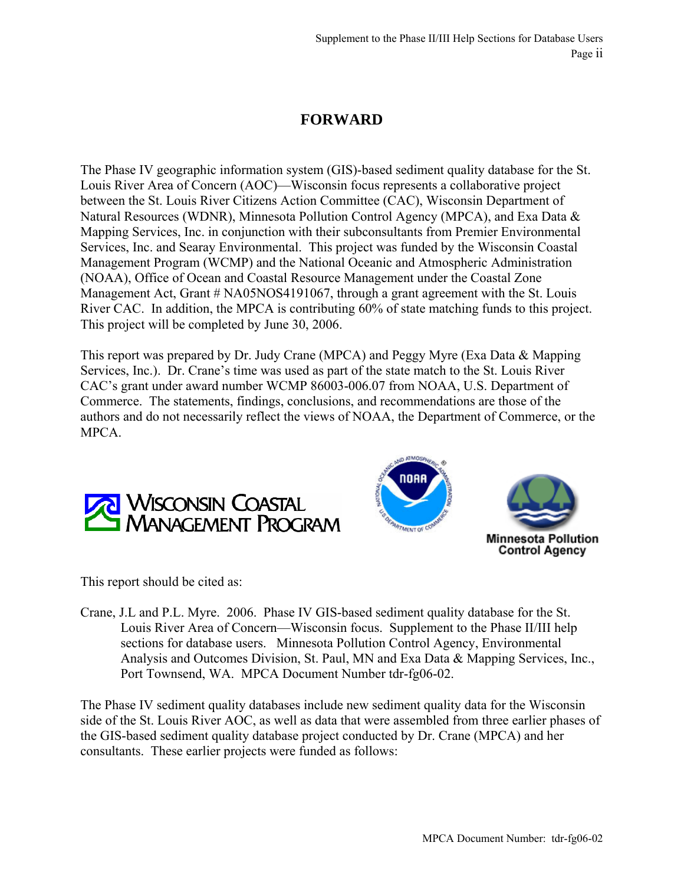# **FORWARD**

The Phase IV geographic information system (GIS)-based sediment quality database for the St. Louis River Area of Concern (AOC)—Wisconsin focus represents a collaborative project between the St. Louis River Citizens Action Committee (CAC), Wisconsin Department of Natural Resources (WDNR), Minnesota Pollution Control Agency (MPCA), and Exa Data & Mapping Services, Inc. in conjunction with their subconsultants from Premier Environmental Services, Inc. and Searay Environmental. This project was funded by the Wisconsin Coastal Management Program (WCMP) and the National Oceanic and Atmospheric Administration (NOAA), Office of Ocean and Coastal Resource Management under the Coastal Zone Management Act, Grant # NA05NOS4191067, through a grant agreement with the St. Louis River CAC. In addition, the MPCA is contributing 60% of state matching funds to this project. This project will be completed by June 30, 2006.

This report was prepared by Dr. Judy Crane (MPCA) and Peggy Myre (Exa Data & Mapping Services, Inc.). Dr. Crane's time was used as part of the state match to the St. Louis River CAC's grant under award number WCMP 86003-006.07 from NOAA, U.S. Department of Commerce. The statements, findings, conclusions, and recommendations are those of the authors and do not necessarily reflect the views of NOAA, the Department of Commerce, or the MPCA.





This report should be cited as:

Crane, J.L and P.L. Myre. 2006. Phase IV GIS-based sediment quality database for the St. Louis River Area of Concern—Wisconsin focus. Supplement to the Phase II/III help sections for database users. Minnesota Pollution Control Agency, Environmental Analysis and Outcomes Division, St. Paul, MN and Exa Data & Mapping Services, Inc., Port Townsend, WA. MPCA Document Number tdr-fg06-02.

The Phase IV sediment quality databases include new sediment quality data for the Wisconsin side of the St. Louis River AOC, as well as data that were assembled from three earlier phases of the GIS-based sediment quality database project conducted by Dr. Crane (MPCA) and her consultants. These earlier projects were funded as follows: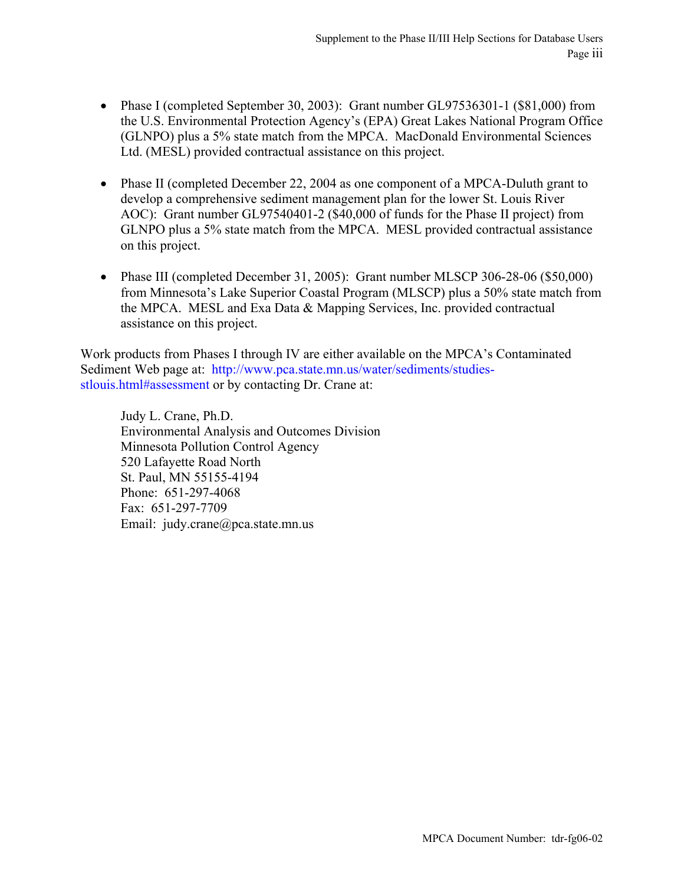- Phase I (completed September 30, 2003): Grant number GL97536301-1 (\$81,000) from the U.S. Environmental Protection Agency's (EPA) Great Lakes National Program Office (GLNPO) plus a 5% state match from the MPCA. MacDonald Environmental Sciences Ltd. (MESL) provided contractual assistance on this project.
- Phase II (completed December 22, 2004 as one component of a MPCA-Duluth grant to develop a comprehensive sediment management plan for the lower St. Louis River AOC): Grant number GL97540401-2 (\$40,000 of funds for the Phase II project) from GLNPO plus a 5% state match from the MPCA. MESL provided contractual assistance on this project.
- Phase III (completed December 31, 2005): Grant number MLSCP 306-28-06 (\$50,000) from Minnesota's Lake Superior Coastal Program (MLSCP) plus a 50% state match from the MPCA. MESL and Exa Data & Mapping Services, Inc. provided contractual assistance on this project.

Work products from Phases I through IV are either available on the MPCA's Contaminated Sediment Web page at: [http://www.pca.state.mn.us/water/sediments/studies](http://www.pca.state.mn.us/water/sediments/studies-stlouis.html#assessment)[stlouis.html#assessment](http://www.pca.state.mn.us/water/sediments/studies-stlouis.html#assessment) or by contacting Dr. Crane at:

Judy L. Crane, Ph.D. Environmental Analysis and Outcomes Division Minnesota Pollution Control Agency 520 Lafayette Road North St. Paul, MN 55155-4194 Phone: 651-297-4068 Fax: 651-297-7709 Email: judy.crane@pca.state.mn.us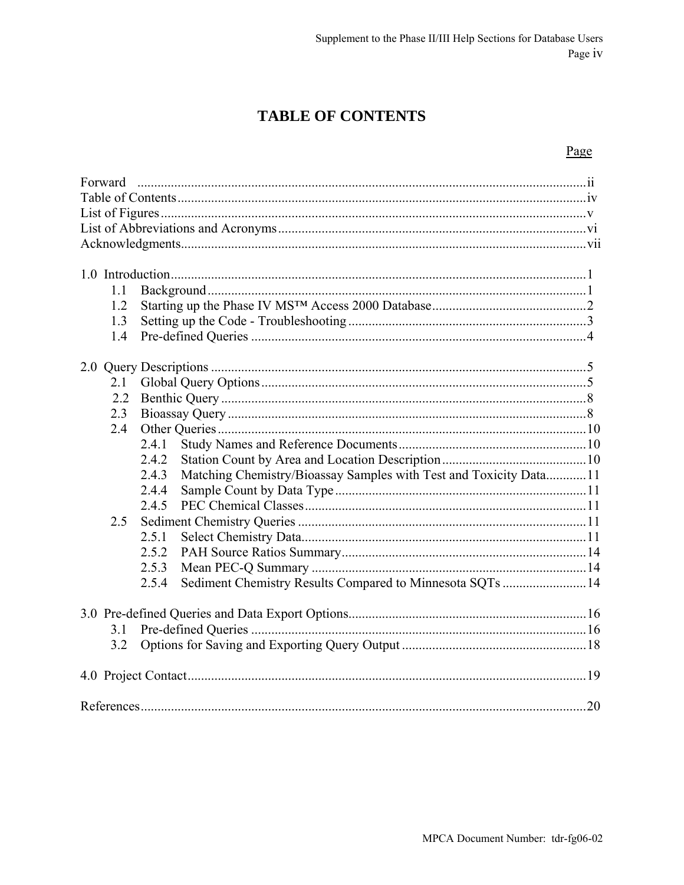# **TABLE OF CONTENTS**

### Page

| Forward |                                                                            |  |  |  |  |  |  |
|---------|----------------------------------------------------------------------------|--|--|--|--|--|--|
|         |                                                                            |  |  |  |  |  |  |
| 1.1     |                                                                            |  |  |  |  |  |  |
| 1.2     |                                                                            |  |  |  |  |  |  |
| 1.3     |                                                                            |  |  |  |  |  |  |
| 1.4     |                                                                            |  |  |  |  |  |  |
|         |                                                                            |  |  |  |  |  |  |
| 2.1     |                                                                            |  |  |  |  |  |  |
| 2.2     |                                                                            |  |  |  |  |  |  |
| 2.3     |                                                                            |  |  |  |  |  |  |
| 2.4     |                                                                            |  |  |  |  |  |  |
|         | 2.4.1                                                                      |  |  |  |  |  |  |
|         | 2.4.2                                                                      |  |  |  |  |  |  |
|         | Matching Chemistry/Bioassay Samples with Test and Toxicity Data11<br>2.4.3 |  |  |  |  |  |  |
|         | 2.4.4                                                                      |  |  |  |  |  |  |
|         | 2.4.5                                                                      |  |  |  |  |  |  |
| 2.5     |                                                                            |  |  |  |  |  |  |
|         | 2.5.1                                                                      |  |  |  |  |  |  |
|         | 2.5.2                                                                      |  |  |  |  |  |  |
|         | 2.5.3                                                                      |  |  |  |  |  |  |
|         | Sediment Chemistry Results Compared to Minnesota SQTs  14<br>2.5.4         |  |  |  |  |  |  |
|         |                                                                            |  |  |  |  |  |  |
| 3.1     |                                                                            |  |  |  |  |  |  |
| 3.2     |                                                                            |  |  |  |  |  |  |
|         |                                                                            |  |  |  |  |  |  |
|         |                                                                            |  |  |  |  |  |  |
|         |                                                                            |  |  |  |  |  |  |
|         |                                                                            |  |  |  |  |  |  |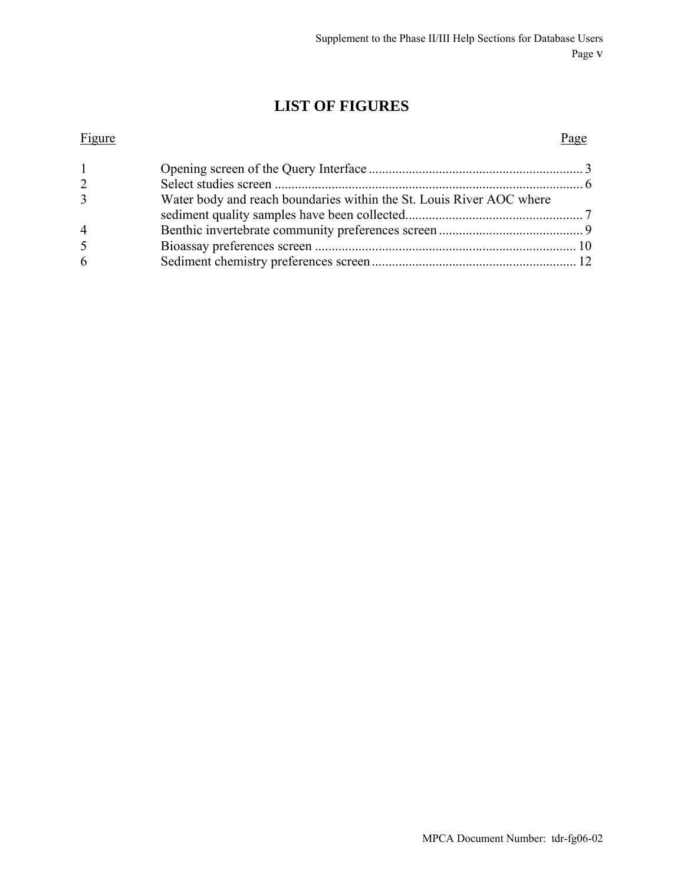# **LIST OF FIGURES**

# Figure Page 1 Opening screen of the Query Interface ................................................................ 3 2 Select studies screen ............................................................................................ 6 3 Water body and reach boundaries within the St. Louis River AOC where sediment quality samples have been collected..................................................... 7 4 Benthic invertebrate community preferences screen ........................................... 9

5 Bioassay preferences screen .............................................................................. 10 6 Sediment chemistry preferences screen............................................................. 12

| MPCA Document Number: tdr-fg06-02 |  |
|-----------------------------------|--|
|                                   |  |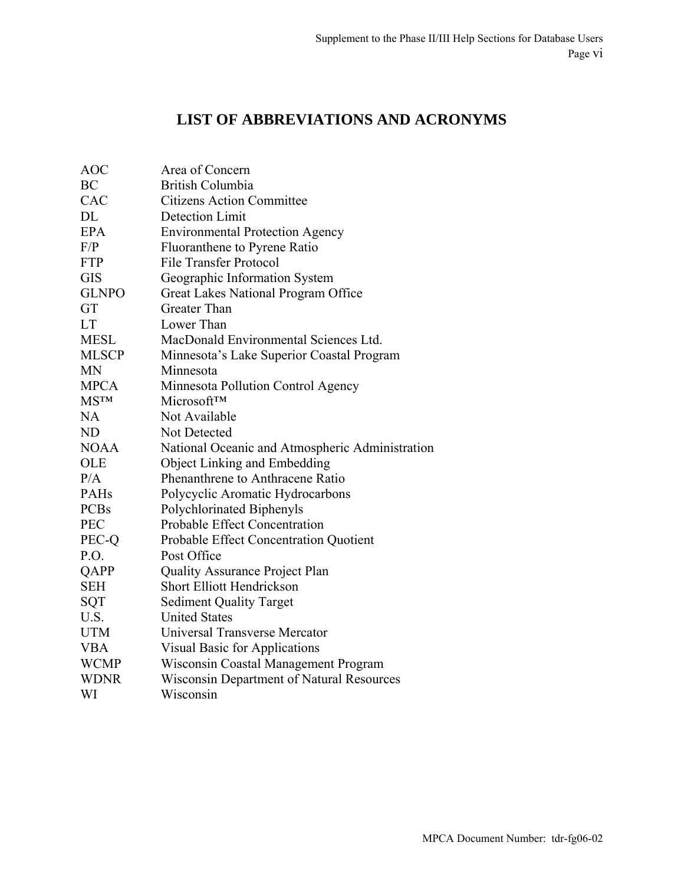# **LIST OF ABBREVIATIONS AND ACRONYMS**

| Area of Concern                                  |
|--------------------------------------------------|
| <b>British Columbia</b>                          |
| <b>Citizens Action Committee</b>                 |
| Detection Limit                                  |
| <b>Environmental Protection Agency</b>           |
| Fluoranthene to Pyrene Ratio                     |
| <b>File Transfer Protocol</b>                    |
| Geographic Information System                    |
| Great Lakes National Program Office              |
| <b>Greater Than</b>                              |
| Lower Than                                       |
| MacDonald Environmental Sciences Ltd.            |
| Minnesota's Lake Superior Coastal Program        |
| Minnesota                                        |
| Minnesota Pollution Control Agency               |
| <b>MicrosoftTM</b>                               |
| Not Available                                    |
| Not Detected                                     |
| National Oceanic and Atmospheric Administration  |
| Object Linking and Embedding                     |
| Phenanthrene to Anthracene Ratio                 |
| Polycyclic Aromatic Hydrocarbons                 |
| Polychlorinated Biphenyls                        |
| <b>Probable Effect Concentration</b>             |
| Probable Effect Concentration Quotient           |
| Post Office                                      |
| <b>Quality Assurance Project Plan</b>            |
| <b>Short Elliott Hendrickson</b>                 |
| <b>Sediment Quality Target</b>                   |
| <b>United States</b>                             |
| Universal Transverse Mercator                    |
| <b>Visual Basic for Applications</b>             |
| Wisconsin Coastal Management Program             |
| <b>Wisconsin Department of Natural Resources</b> |
| Wisconsin                                        |
|                                                  |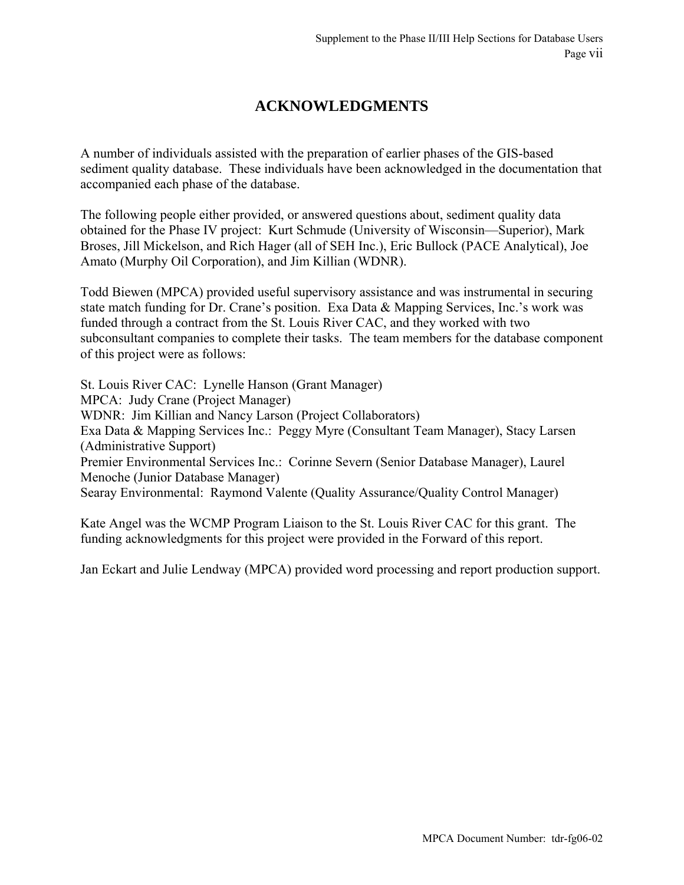# **ACKNOWLEDGMENTS**

A number of individuals assisted with the preparation of earlier phases of the GIS-based sediment quality database. These individuals have been acknowledged in the documentation that accompanied each phase of the database.

The following people either provided, or answered questions about, sediment quality data obtained for the Phase IV project: Kurt Schmude (University of Wisconsin—Superior), Mark Broses, Jill Mickelson, and Rich Hager (all of SEH Inc.), Eric Bullock (PACE Analytical), Joe Amato (Murphy Oil Corporation), and Jim Killian (WDNR).

Todd Biewen (MPCA) provided useful supervisory assistance and was instrumental in securing state match funding for Dr. Crane's position. Exa Data & Mapping Services, Inc.'s work was funded through a contract from the St. Louis River CAC, and they worked with two subconsultant companies to complete their tasks. The team members for the database component of this project were as follows:

St. Louis River CAC: Lynelle Hanson (Grant Manager) MPCA: Judy Crane (Project Manager) WDNR: Jim Killian and Nancy Larson (Project Collaborators) Exa Data & Mapping Services Inc.: Peggy Myre (Consultant Team Manager), Stacy Larsen (Administrative Support) Premier Environmental Services Inc.: Corinne Severn (Senior Database Manager), Laurel Menoche (Junior Database Manager) Searay Environmental: Raymond Valente (Quality Assurance/Quality Control Manager)

Kate Angel was the WCMP Program Liaison to the St. Louis River CAC for this grant. The funding acknowledgments for this project were provided in the Forward of this report.

Jan Eckart and Julie Lendway (MPCA) provided word processing and report production support.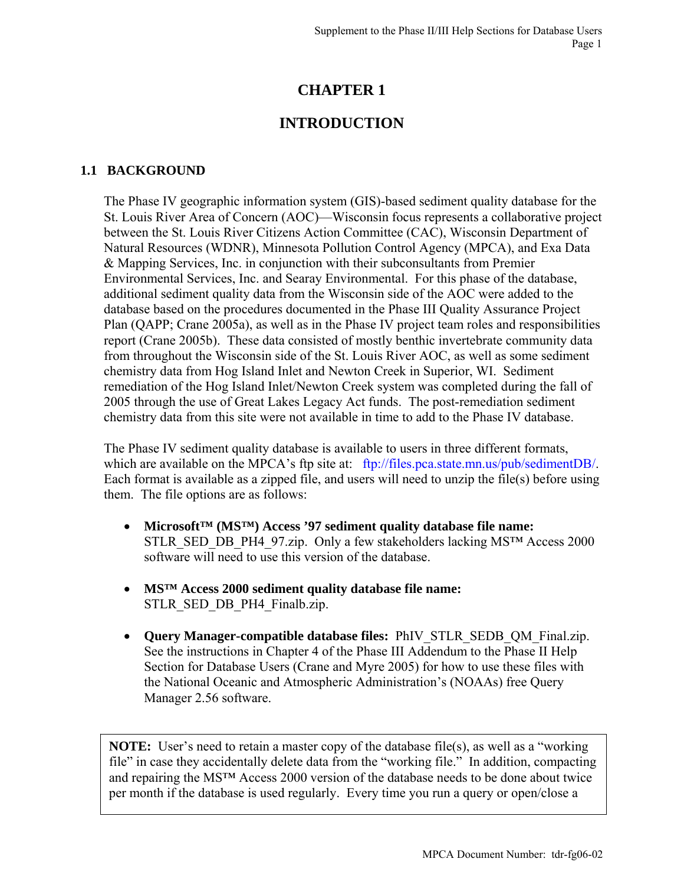# **CHAPTER 1**

# **INTRODUCTION**

### **1.1 BACKGROUND**

The Phase IV geographic information system (GIS)-based sediment quality database for the St. Louis River Area of Concern (AOC)—Wisconsin focus represents a collaborative project between the St. Louis River Citizens Action Committee (CAC), Wisconsin Department of Natural Resources (WDNR), Minnesota Pollution Control Agency (MPCA), and Exa Data & Mapping Services, Inc. in conjunction with their subconsultants from Premier Environmental Services, Inc. and Searay Environmental. For this phase of the database, additional sediment quality data from the Wisconsin side of the AOC were added to the database based on the procedures documented in the Phase III Quality Assurance Project Plan (QAPP; Crane 2005a), as well as in the Phase IV project team roles and responsibilities report (Crane 2005b). These data consisted of mostly benthic invertebrate community data from throughout the Wisconsin side of the St. Louis River AOC, as well as some sediment chemistry data from Hog Island Inlet and Newton Creek in Superior, WI. Sediment remediation of the Hog Island Inlet/Newton Creek system was completed during the fall of 2005 through the use of Great Lakes Legacy Act funds. The post-remediation sediment chemistry data from this site were not available in time to add to the Phase IV database.

The Phase IV sediment quality database is available to users in three different formats, which are available on the MPCA's ftp site at: <ftp://files.pca.state.mn.us/pub/sedimentDB/>. Each format is available as a zipped file, and users will need to unzip the file(s) before using them. The file options are as follows:

- **Microsoft™ (MS™) Access '97 sediment quality database file name:** STLR\_SED\_DB\_PH4\_97.zip. Only a few stakeholders lacking MS™ Access 2000 software will need to use this version of the database.
- **MS™ Access 2000 sediment quality database file name:** STLR\_SED\_DB\_PH4\_Finalb.zip.
- **Query Manager-compatible database files:** PhIV\_STLR\_SEDB\_QM\_Final.zip. See the instructions in Chapter 4 of the Phase III Addendum to the Phase II Help Section for Database Users (Crane and Myre 2005) for how to use these files with the National Oceanic and Atmospheric Administration's (NOAAs) free Query Manager 2.56 software.

**NOTE:** User's need to retain a master copy of the database file(s), as well as a "working" file" in case they accidentally delete data from the "working file." In addition, compacting and repairing the MS™ Access 2000 version of the database needs to be done about twice per month if the database is used regularly. Every time you run a query or open/close a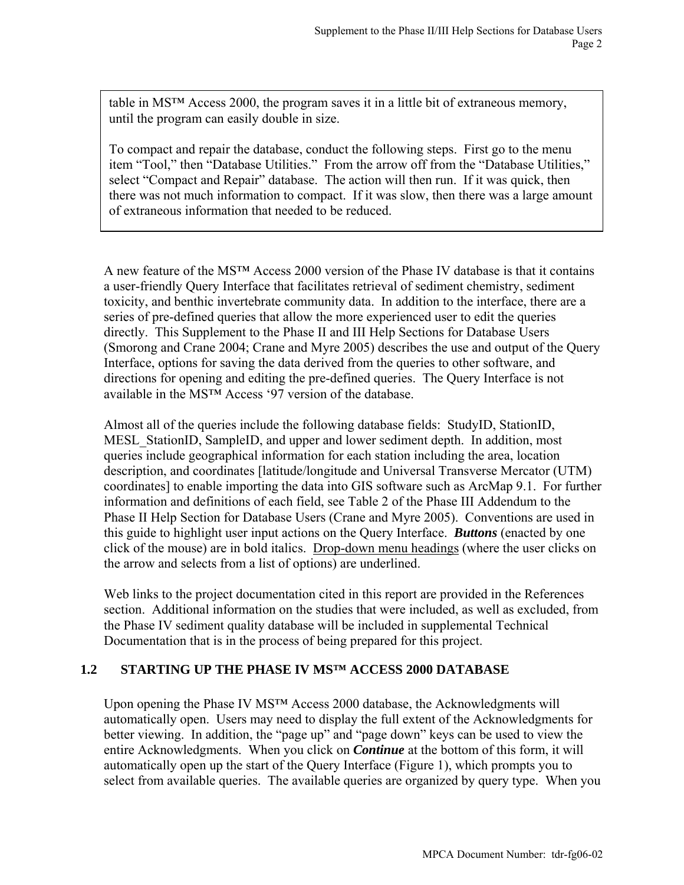table in MS™ Access 2000, the program saves it in a little bit of extraneous memory, until the program can easily double in size.

To compact and repair the database, conduct the following steps. First go to the menu item "Tool," then "Database Utilities." From the arrow off from the "Database Utilities," select "Compact and Repair" database. The action will then run. If it was quick, then there was not much information to compact. If it was slow, then there was a large amount of extraneous information that needed to be reduced.

A new feature of the MS™ Access 2000 version of the Phase IV database is that it contains a user-friendly Query Interface that facilitates retrieval of sediment chemistry, sediment toxicity, and benthic invertebrate community data. In addition to the interface, there are a series of pre-defined queries that allow the more experienced user to edit the queries directly. This Supplement to the Phase II and III Help Sections for Database Users (Smorong and Crane 2004; Crane and Myre 2005) describes the use and output of the Query Interface, options for saving the data derived from the queries to other software, and directions for opening and editing the pre-defined queries. The Query Interface is not available in the MS™ Access '97 version of the database.

Almost all of the queries include the following database fields: StudyID, StationID, MESL\_StationID, SampleID, and upper and lower sediment depth. In addition, most queries include geographical information for each station including the area, location description, and coordinates [latitude/longitude and Universal Transverse Mercator (UTM) coordinates] to enable importing the data into GIS software such as ArcMap 9.1. For further information and definitions of each field, see Table 2 of the Phase III Addendum to the Phase II Help Section for Database Users (Crane and Myre 2005). Conventions are used in this guide to highlight user input actions on the Query Interface. *Buttons* (enacted by one click of the mouse) are in bold italics. Drop-down menu headings (where the user clicks on the arrow and selects from a list of options) are underlined.

Web links to the project documentation cited in this report are provided in the References section. Additional information on the studies that were included, as well as excluded, from the Phase IV sediment quality database will be included in supplemental Technical Documentation that is in the process of being prepared for this project.

### **1.2 STARTING UP THE PHASE IV MS™ ACCESS 2000 DATABASE**

Upon opening the Phase IV MS<sup>™</sup> Access 2000 database, the Acknowledgments will automatically open. Users may need to display the full extent of the Acknowledgments for better viewing. In addition, the "page up" and "page down" keys can be used to view the entire Acknowledgments. When you click on *Continue* at the bottom of this form, it will automatically open up the start of the Query Interface (Figure 1), which prompts you to select from available queries. The available queries are organized by query type. When you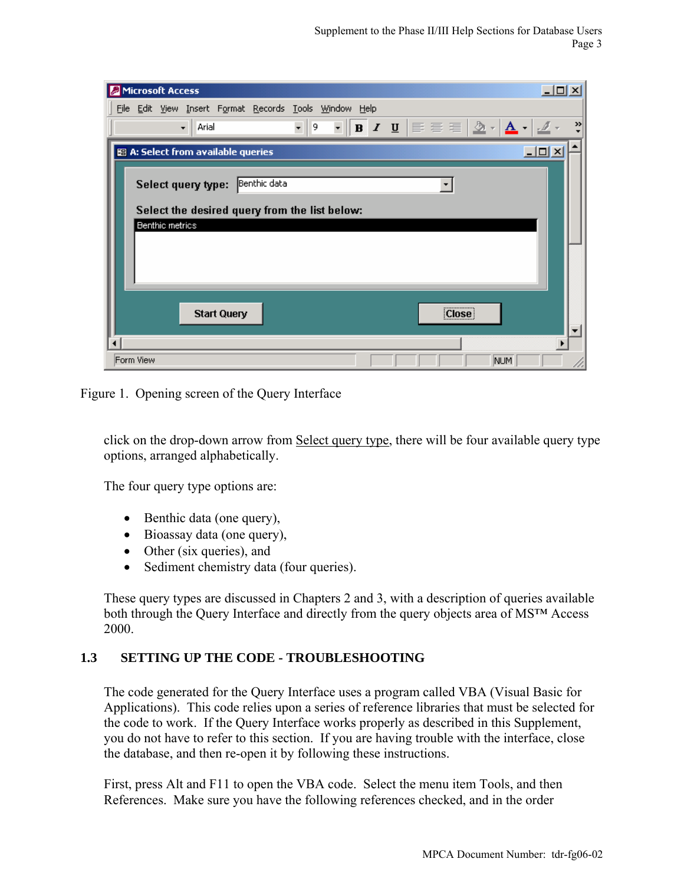| Microsoft Access                                                                                                                                                     | $\Box$             |
|----------------------------------------------------------------------------------------------------------------------------------------------------------------------|--------------------|
| File Edit View Insert Format Records Tools Window Help                                                                                                               |                    |
| $\overline{\cdot}\parallel$ b / U $\overline{\equiv}\equiv\equiv\mid\mathcal{D}\cdot\mid$ A $\overline{\cdot}\mid\mathcal{I}\cdot$<br>$\mathbf{F}$   9<br>Arial<br>٠ | »                  |
| 图 A: Select from available queries                                                                                                                                   | $\Box$ ol $\times$ |
| Benthic data<br>Select query type:                                                                                                                                   |                    |
| Select the desired query from the list below:<br>Benthic metrics                                                                                                     |                    |
|                                                                                                                                                                      |                    |
| [Close]<br><b>Start Query</b>                                                                                                                                        |                    |
| Form View<br>NUM                                                                                                                                                     |                    |

Figure 1. Opening screen of the Query Interface

click on the drop-down arrow from Select query type, there will be four available query type options, arranged alphabetically.

The four query type options are:

- Benthic data (one query),
- Bioassay data (one query),
- Other (six queries), and
- Sediment chemistry data (four queries).

These query types are discussed in Chapters 2 and 3, with a description of queries available both through the Query Interface and directly from the query objects area of MS™ Access 2000.

### **1.3 SETTING UP THE CODE - TROUBLESHOOTING**

The code generated for the Query Interface uses a program called VBA (Visual Basic for Applications). This code relies upon a series of reference libraries that must be selected for the code to work. If the Query Interface works properly as described in this Supplement, you do not have to refer to this section. If you are having trouble with the interface, close the database, and then re-open it by following these instructions.

First, press Alt and F11 to open the VBA code. Select the menu item Tools, and then References. Make sure you have the following references checked, and in the order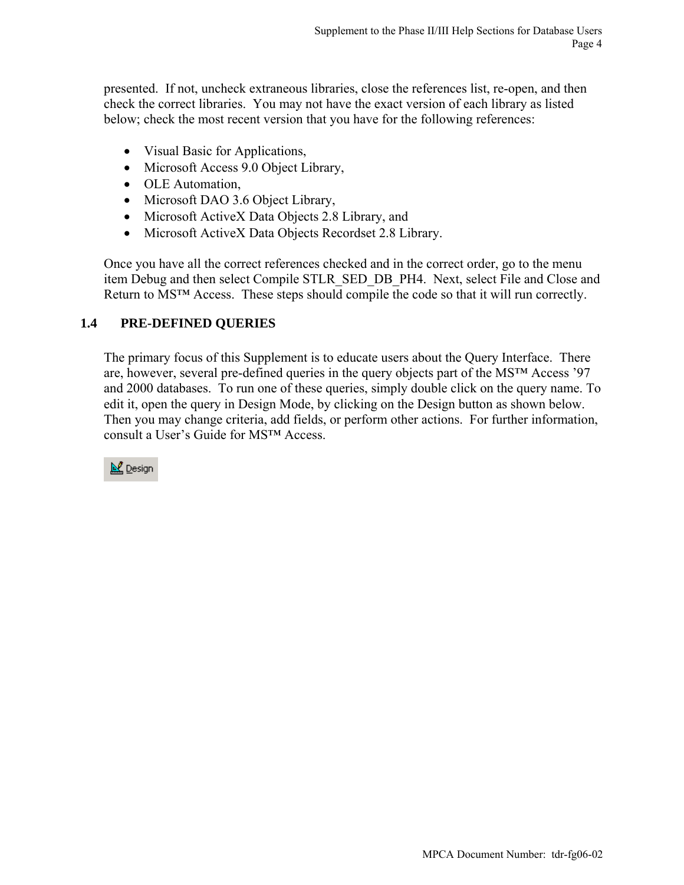presented. If not, uncheck extraneous libraries, close the references list, re-open, and then check the correct libraries. You may not have the exact version of each library as listed below; check the most recent version that you have for the following references:

- Visual Basic for Applications,
- Microsoft Access 9.0 Object Library,
- OLE Automation,
- Microsoft DAO 3.6 Object Library,
- Microsoft ActiveX Data Objects 2.8 Library, and
- Microsoft ActiveX Data Objects Recordset 2.8 Library.

Once you have all the correct references checked and in the correct order, go to the menu item Debug and then select Compile STLR\_SED\_DB\_PH4. Next, select File and Close and Return to MS™ Access. These steps should compile the code so that it will run correctly.

## **1.4 PRE-DEFINED QUERIES**

The primary focus of this Supplement is to educate users about the Query Interface. There are, however, several pre-defined queries in the query objects part of the MS™ Access '97 and 2000 databases. To run one of these queries, simply double click on the query name. To edit it, open the query in Design Mode, by clicking on the Design button as shown below. Then you may change criteria, add fields, or perform other actions. For further information, consult a User's Guide for MS™ Access.

**N** Design

MPCA Document Number: tdr-fg06-02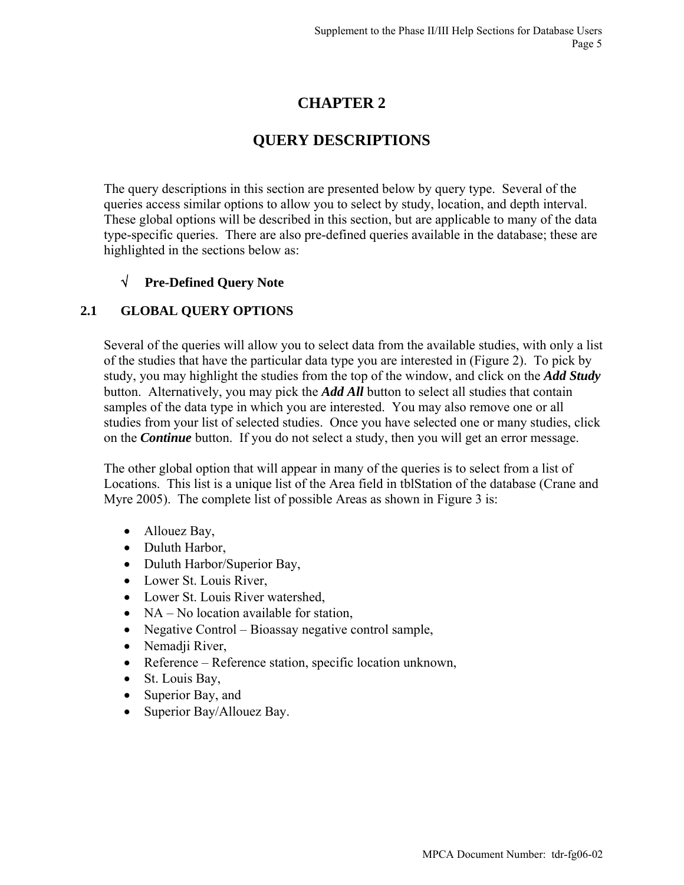# **CHAPTER 2**

# **QUERY DESCRIPTIONS**

The query descriptions in this section are presented below by query type. Several of the queries access similar options to allow you to select by study, location, and depth interval. These global options will be described in this section, but are applicable to many of the data type-specific queries. There are also pre-defined queries available in the database; these are highlighted in the sections below as:

## √ **Pre-Defined Query Note**

### **2.1 GLOBAL QUERY OPTIONS**

Several of the queries will allow you to select data from the available studies, with only a list of the studies that have the particular data type you are interested in (Figure 2). To pick by study, you may highlight the studies from the top of the window, and click on the *Add Study* button. Alternatively, you may pick the *Add All* button to select all studies that contain samples of the data type in which you are interested. You may also remove one or all studies from your list of selected studies. Once you have selected one or many studies, click on the *Continue* button. If you do not select a study, then you will get an error message.

The other global option that will appear in many of the queries is to select from a list of Locations. This list is a unique list of the Area field in tblStation of the database (Crane and Myre 2005). The complete list of possible Areas as shown in Figure 3 is:

- Allouez Bay,
- Duluth Harbor,
- Duluth Harbor/Superior Bay,
- Lower St. Louis River,
- Lower St. Louis River watershed,
- NA No location available for station,
- Negative Control Bioassay negative control sample,
- Nemadji River,
- Reference Reference station, specific location unknown,
- St. Louis Bay,
- Superior Bay, and
- Superior Bay/Allouez Bay.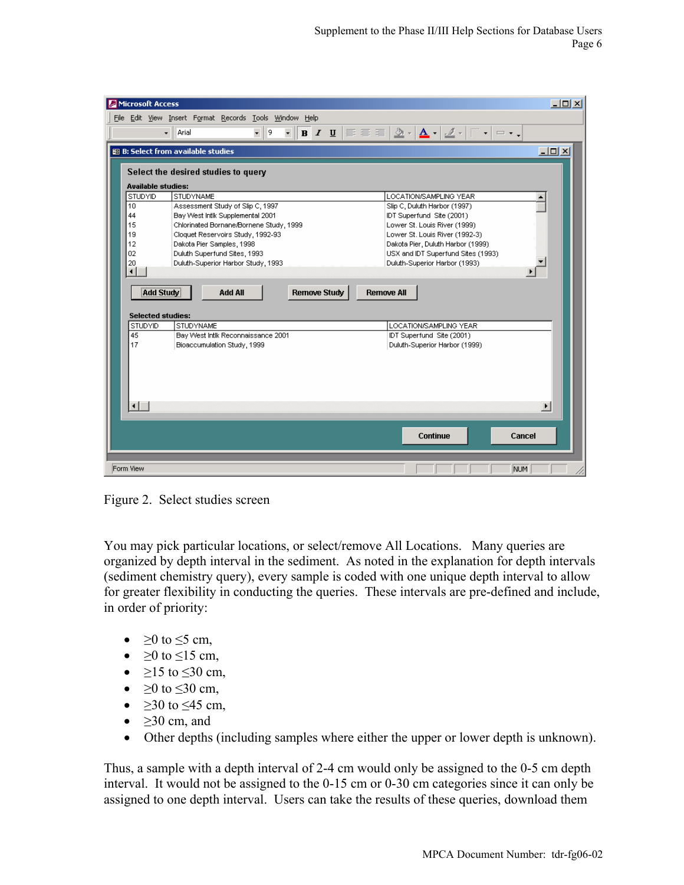| Microsoft Access       |                                                                                                                                                 | $\Box$ D $\times$                                                          |
|------------------------|-------------------------------------------------------------------------------------------------------------------------------------------------|----------------------------------------------------------------------------|
|                        | File Edit View Insert Format Records Tools Window Help                                                                                          |                                                                            |
|                        | $-$ 9<br>$\overline{\cdot}\parallel$ b $I$ $\overline{\mathsf{U}}$ $\mid \Xi \equiv \overline{\Xi}$ $\mid$<br>$\overline{\phantom{0}}$<br>Arial | $\Delta$ - $\Delta$ - $2$ -<br>T.<br>$\mathbf{v}$ = $\mathbf{v}$ ,         |
|                        | <b>BB</b> B: Select from available studies                                                                                                      | $\underline{\blacksquare} \underline{\blacksquare} \underline{\mathsf{x}}$ |
|                        | Select the desired studies to query                                                                                                             |                                                                            |
|                        | <b>Available studies:</b>                                                                                                                       |                                                                            |
| STUDYID                | <b>STUDYNAME</b>                                                                                                                                | LOCATION/SAMPLING YEAR                                                     |
| 10                     | Assessment Study of Slip C, 1997                                                                                                                | Slip C, Duluth Harbor (1997)                                               |
| 44                     | Bay West Intlk Supplemental 2001                                                                                                                | IDT Superfund Site (2001)                                                  |
| 15                     | Chlorinated Bornane/Bornene Study, 1999                                                                                                         | Lower St. Louis River (1999)                                               |
| 19                     | Cloquet Reservoirs Study, 1992-93                                                                                                               | Lower St. Louis River (1992-3)                                             |
| 12                     | Dakota Pier Samples, 1998                                                                                                                       | Dakota Pier, Duluth Harbor (1999)                                          |
| 02                     | Duluth Superfund Sites, 1993                                                                                                                    | USX and IDT Superfund Sites (1993)                                         |
| 20                     | Duluth-Superior Harbor Study, 1993                                                                                                              | Duluth-Superior Harbor (1993)                                              |
| ⊣                      |                                                                                                                                                 |                                                                            |
|                        |                                                                                                                                                 |                                                                            |
|                        | <b>Add Study</b><br><b>Remove Study</b><br><b>Add All</b>                                                                                       | <b>Remove All</b>                                                          |
|                        |                                                                                                                                                 |                                                                            |
|                        | <b>Selected studies:</b>                                                                                                                        |                                                                            |
| STUDYID                | <b>STUDYNAME</b>                                                                                                                                | LOCATION/SAMPLING YEAR                                                     |
| 45                     | Bay West Intlk Reconnaissance 2001                                                                                                              | IDT Superfund Site (2001)                                                  |
| 17                     | Bioaccumulation Study, 1999                                                                                                                     | Duluth-Superior Harbor (1999)                                              |
|                        |                                                                                                                                                 |                                                                            |
|                        |                                                                                                                                                 |                                                                            |
|                        |                                                                                                                                                 |                                                                            |
|                        |                                                                                                                                                 |                                                                            |
|                        |                                                                                                                                                 |                                                                            |
| $\left  \cdot \right $ |                                                                                                                                                 | $\blacktriangleright$                                                      |
|                        |                                                                                                                                                 |                                                                            |
|                        |                                                                                                                                                 |                                                                            |
|                        |                                                                                                                                                 | <b>Continue</b><br>Cancel                                                  |
|                        |                                                                                                                                                 |                                                                            |
|                        |                                                                                                                                                 |                                                                            |
|                        |                                                                                                                                                 |                                                                            |
| Form View              |                                                                                                                                                 | NUM                                                                        |

Figure 2. Select studies screen

You may pick particular locations, or select/remove All Locations. Many queries are organized by depth interval in the sediment. As noted in the explanation for depth intervals (sediment chemistry query), every sample is coded with one unique depth interval to allow for greater flexibility in conducting the queries. These intervals are pre-defined and include, in order of priority:

- $\geq 0$  to  $\leq 5$  cm,
- $\geq 0$  to  $\leq 15$  cm,
- $\geq 15$  to  $\leq 30$  cm,
- $\geq 0$  to  $\leq 30$  cm,
- $\geq$ 30 to  $\leq$ 45 cm,
- $\geq$ 30 cm, and
- Other depths (including samples where either the upper or lower depth is unknown).

Thus, a sample with a depth interval of 2-4 cm would only be assigned to the 0-5 cm depth interval. It would not be assigned to the 0-15 cm or 0-30 cm categories since it can only be assigned to one depth interval. Users can take the results of these queries, download them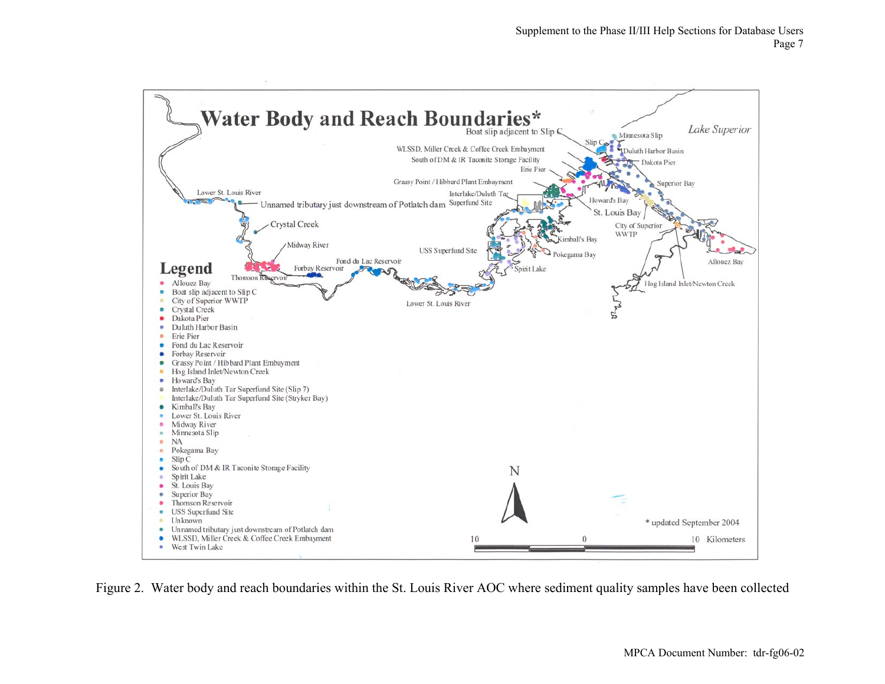

Figure 2. Water body and reach boundaries within the St. Louis River AOC where sediment quality samples have been collected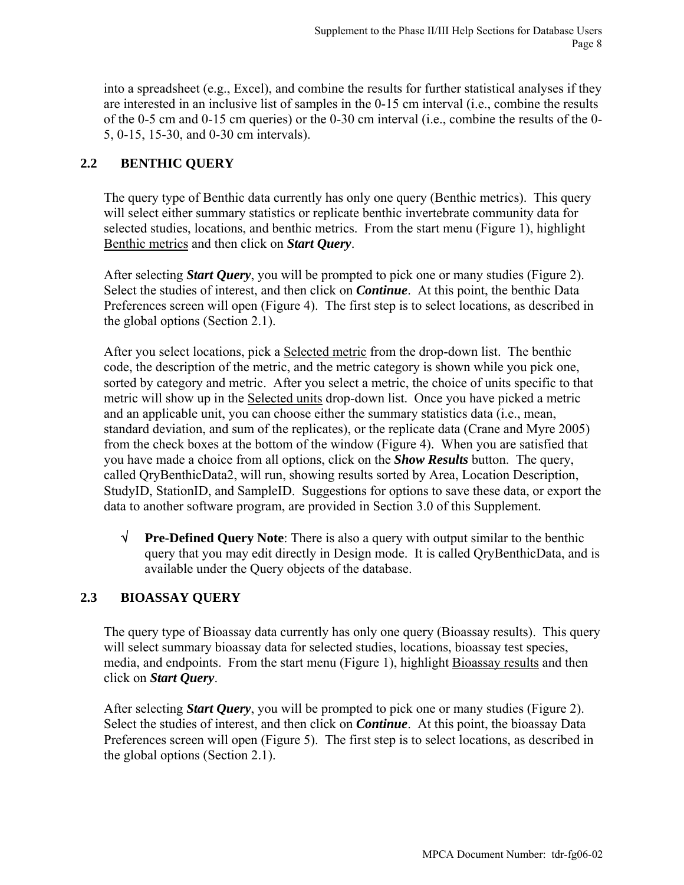into a spreadsheet (e.g., Excel), and combine the results for further statistical analyses if they are interested in an inclusive list of samples in the 0-15 cm interval (i.e., combine the results of the 0-5 cm and 0-15 cm queries) or the 0-30 cm interval (i.e., combine the results of the 0- 5, 0-15, 15-30, and 0-30 cm intervals).

## **2.2 BENTHIC QUERY**

The query type of Benthic data currently has only one query (Benthic metrics). This query will select either summary statistics or replicate benthic invertebrate community data for selected studies, locations, and benthic metrics. From the start menu (Figure 1), highlight Benthic metrics and then click on *Start Query*.

After selecting *Start Query*, you will be prompted to pick one or many studies (Figure 2). Select the studies of interest, and then click on *Continue*. At this point, the benthic Data Preferences screen will open (Figure 4). The first step is to select locations, as described in the global options (Section 2.1).

After you select locations, pick a Selected metric from the drop-down list. The benthic code, the description of the metric, and the metric category is shown while you pick one, sorted by category and metric. After you select a metric, the choice of units specific to that metric will show up in the Selected units drop-down list. Once you have picked a metric and an applicable unit, you can choose either the summary statistics data (i.e., mean, standard deviation, and sum of the replicates), or the replicate data (Crane and Myre 2005) from the check boxes at the bottom of the window (Figure 4). When you are satisfied that you have made a choice from all options, click on the *Show Results* button. The query, called QryBenthicData2, will run, showing results sorted by Area, Location Description, StudyID, StationID, and SampleID. Suggestions for options to save these data, or export the data to another software program, are provided in Section 3.0 of this Supplement.

√ **Pre-Defined Query Note**: There is also a query with output similar to the benthic query that you may edit directly in Design mode. It is called QryBenthicData, and is available under the Query objects of the database.

## **2.3 BIOASSAY QUERY**

The query type of Bioassay data currently has only one query (Bioassay results). This query will select summary bioassay data for selected studies, locations, bioassay test species, media, and endpoints. From the start menu (Figure 1), highlight Bioassay results and then click on *Start Query*.

After selecting *Start Query*, you will be prompted to pick one or many studies (Figure 2). Select the studies of interest, and then click on *Continue*. At this point, the bioassay Data Preferences screen will open (Figure 5). The first step is to select locations, as described in the global options (Section 2.1).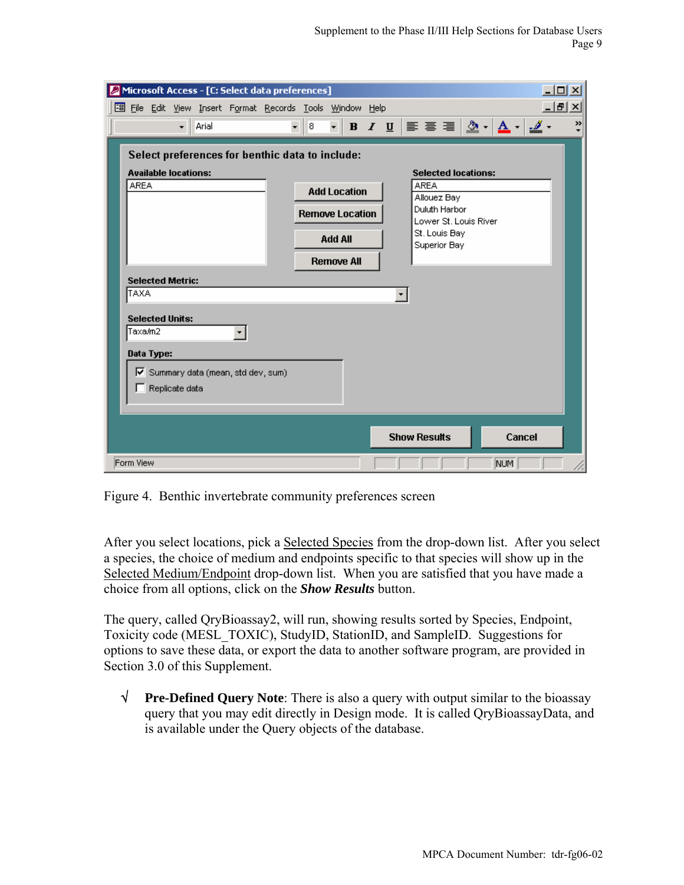| Microsoft Access - [C: Select data preferences]<br>☑                                                           | $ \Box$ $\times$                                                                                                                                                                                                                                                                                                                                                                                                                                                                                                               |
|----------------------------------------------------------------------------------------------------------------|--------------------------------------------------------------------------------------------------------------------------------------------------------------------------------------------------------------------------------------------------------------------------------------------------------------------------------------------------------------------------------------------------------------------------------------------------------------------------------------------------------------------------------|
| 图 File Edit View Insert Format Records Tools Window Help                                                       | 그리지                                                                                                                                                                                                                                                                                                                                                                                                                                                                                                                            |
| Arial<br>$\overline{\phantom{a}}$                                                                              | $\mathbf{v} \equiv \mathbf{v} \equiv \frac{1}{2} \mathbf{v} \cdot \frac{1}{2} \mathbf{A} \cdot \frac{1}{2} \mathbf{A} \cdot \frac{1}{2} \mathbf{A} \cdot \frac{1}{2} \mathbf{A} \cdot \frac{1}{2} \mathbf{A} \cdot \frac{1}{2} \mathbf{A} \cdot \frac{1}{2} \mathbf{A} \cdot \frac{1}{2} \mathbf{A} \cdot \frac{1}{2} \mathbf{A} \cdot \frac{1}{2} \mathbf{A} \cdot \frac{1}{2} \mathbf{A} \cdot \frac{1}{2} \mathbf{A} \cdot \frac{1}{2} \math$<br>$\rightarrow$<br>$\mathbf{F}$ <b>B</b> $I$ <b>U</b><br>$\mathbf{r} \mid 8$ |
| Select preferences for benthic data to include:<br><b>Available locations:</b><br><b>AREA</b>                  | <b>Selected locations:</b><br><b>AREA</b><br><b>Add Location</b><br>Allouez Bay<br>Duluth Harbor<br><b>Remove Location</b><br>Lower St. Louis River<br>St. Louis Bay<br><b>Add All</b><br>Superior Bay<br><b>Remove All</b>                                                                                                                                                                                                                                                                                                    |
| <b>Selected Metric:</b><br>TAXA                                                                                | ▾╎                                                                                                                                                                                                                                                                                                                                                                                                                                                                                                                             |
| <b>Selected Units:</b><br>Taxa/m2<br>▾╎<br>Data Type:<br>√ Summary data (mean, std dev, sum)<br>Replicate data |                                                                                                                                                                                                                                                                                                                                                                                                                                                                                                                                |
|                                                                                                                | <b>Show Results</b><br>Cancel                                                                                                                                                                                                                                                                                                                                                                                                                                                                                                  |
| Form View                                                                                                      | NUM                                                                                                                                                                                                                                                                                                                                                                                                                                                                                                                            |

Figure 4. Benthic invertebrate community preferences screen

After you select locations, pick a Selected Species from the drop-down list. After you select a species, the choice of medium and endpoints specific to that species will show up in the Selected Medium/Endpoint drop-down list. When you are satisfied that you have made a choice from all options, click on the *Show Results* button.

The query, called QryBioassay2, will run, showing results sorted by Species, Endpoint, Toxicity code (MESL\_TOXIC), StudyID, StationID, and SampleID. Suggestions for options to save these data, or export the data to another software program, are provided in Section 3.0 of this Supplement.

√ **Pre-Defined Query Note**: There is also a query with output similar to the bioassay query that you may edit directly in Design mode. It is called QryBioassayData, and is available under the Query objects of the database.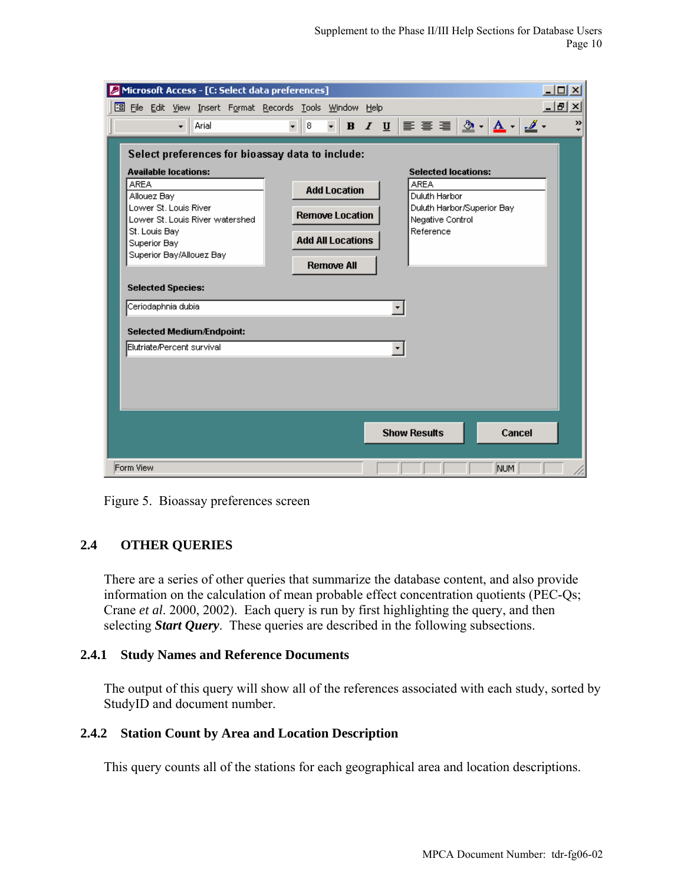|             |                                              |                                                                                                        |                                                                                            | Microsoft Access - [C: Select data preferences]                                     |                                          |                                                                                                |  |                                    |                                                |                            |                                                                                                                                                                |        | <u>니미지</u> |
|-------------|----------------------------------------------|--------------------------------------------------------------------------------------------------------|--------------------------------------------------------------------------------------------|-------------------------------------------------------------------------------------|------------------------------------------|------------------------------------------------------------------------------------------------|--|------------------------------------|------------------------------------------------|----------------------------|----------------------------------------------------------------------------------------------------------------------------------------------------------------|--------|------------|
|             |                                              |                                                                                                        |                                                                                            | 图 File Edit View Insert Format Records Tools Window Help                            |                                          |                                                                                                |  |                                    |                                                |                            |                                                                                                                                                                |        | 그리지        |
|             |                                              | $\overline{\phantom{a}}$                                                                               | Arial                                                                                      |                                                                                     | $\mathbf{8}$<br>$\overline{\phantom{a}}$ | $\overline{\mathbf{r}}$                                                                        |  |                                    |                                                |                            | <b>B</b> $I$ $\underline{U}$ $\equiv$ $\equiv$ $\underline{S}$ $\underline{A}$ $\underline{A}$ $\underline{A}$ $\underline{A}$ $\underline{A}$ $\underline{A}$ |        | Y)         |
| <b>AREA</b> | Allouez Bay<br>St. Louis Bay<br>Superior Bay | <b>Available locations:</b><br>Lower St. Louis River<br><b>Selected Species:</b><br>Ceriodaphnia dubia | Superior Bay/Allouez Bay<br><b>Selected Medium/Endpoint:</b><br>Elutriate/Percent survival | Select preferences for bioassay data to include:<br>Lower St. Louis River watershed |                                          | <b>Add Location</b><br><b>Remove Location</b><br><b>Add All Locations</b><br><b>Remove All</b> |  | <b>AREA</b><br><b>Show Results</b> | Duluth Harbor<br>Negative Control<br>Reference | <b>Selected locations:</b> | Duluth Harbor/Superior Bay                                                                                                                                     | Cancel |            |
|             |                                              |                                                                                                        |                                                                                            |                                                                                     |                                          |                                                                                                |  |                                    |                                                |                            |                                                                                                                                                                |        |            |
| Form View   |                                              |                                                                                                        |                                                                                            |                                                                                     |                                          |                                                                                                |  |                                    |                                                |                            | NUM                                                                                                                                                            |        |            |

Figure 5. Bioassay preferences screen

### **2.4 OTHER QUERIES**

There are a series of other queries that summarize the database content, and also provide information on the calculation of mean probable effect concentration quotients (PEC-Qs; Crane *et al*. 2000, 2002). Each query is run by first highlighting the query, and then selecting *Start Query*. These queries are described in the following subsections.

#### **2.4.1 Study Names and Reference Documents**

The output of this query will show all of the references associated with each study, sorted by StudyID and document number.

### **2.4.2 Station Count by Area and Location Description**

This query counts all of the stations for each geographical area and location descriptions.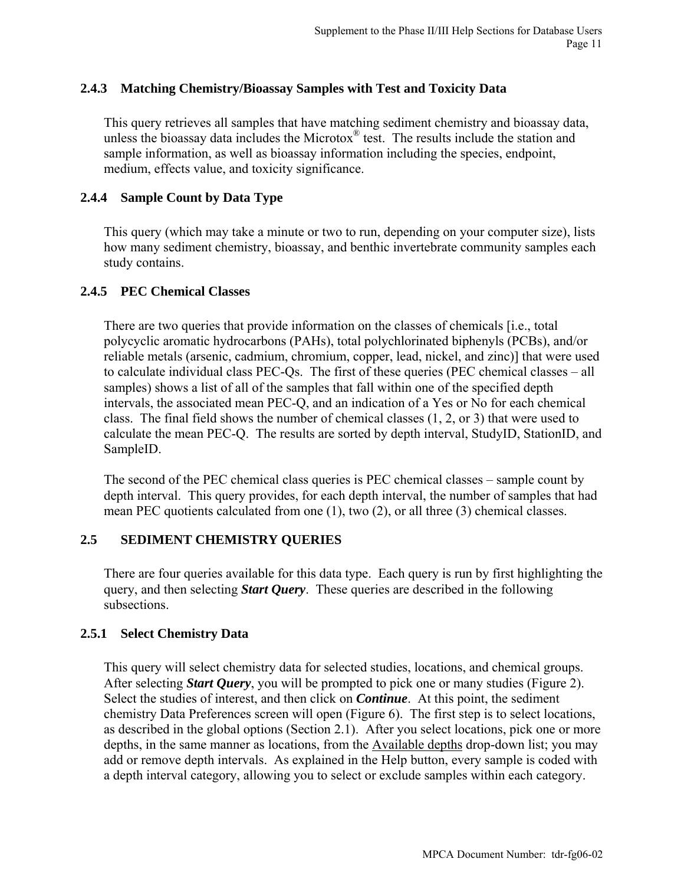### **2.4.3 Matching Chemistry/Bioassay Samples with Test and Toxicity Data**

This query retrieves all samples that have matching sediment chemistry and bioassay data, unless the bioassay data includes the Microtox $^{\circledR}$  test. The results include the station and sample information, as well as bioassay information including the species, endpoint, medium, effects value, and toxicity significance.

### **2.4.4 Sample Count by Data Type**

This query (which may take a minute or two to run, depending on your computer size), lists how many sediment chemistry, bioassay, and benthic invertebrate community samples each study contains.

#### **2.4.5 PEC Chemical Classes**

There are two queries that provide information on the classes of chemicals [i.e., total polycyclic aromatic hydrocarbons (PAHs), total polychlorinated biphenyls (PCBs), and/or reliable metals (arsenic, cadmium, chromium, copper, lead, nickel, and zinc)] that were used to calculate individual class PEC-Qs. The first of these queries (PEC chemical classes – all samples) shows a list of all of the samples that fall within one of the specified depth intervals, the associated mean PEC-Q, and an indication of a Yes or No for each chemical class. The final field shows the number of chemical classes (1, 2, or 3) that were used to calculate the mean PEC-Q. The results are sorted by depth interval, StudyID, StationID, and SampleID.

The second of the PEC chemical class queries is PEC chemical classes – sample count by depth interval. This query provides, for each depth interval, the number of samples that had mean PEC quotients calculated from one (1), two (2), or all three (3) chemical classes.

#### **2.5 SEDIMENT CHEMISTRY QUERIES**

There are four queries available for this data type. Each query is run by first highlighting the query, and then selecting *Start Query*. These queries are described in the following subsections.

### **2.5.1 Select Chemistry Data**

This query will select chemistry data for selected studies, locations, and chemical groups. After selecting *Start Query*, you will be prompted to pick one or many studies (Figure 2). Select the studies of interest, and then click on *Continue*. At this point, the sediment chemistry Data Preferences screen will open (Figure 6). The first step is to select locations, as described in the global options (Section 2.1). After you select locations, pick one or more depths, in the same manner as locations, from the Available depths drop-down list; you may add or remove depth intervals. As explained in the Help button, every sample is coded with a depth interval category, allowing you to select or exclude samples within each category.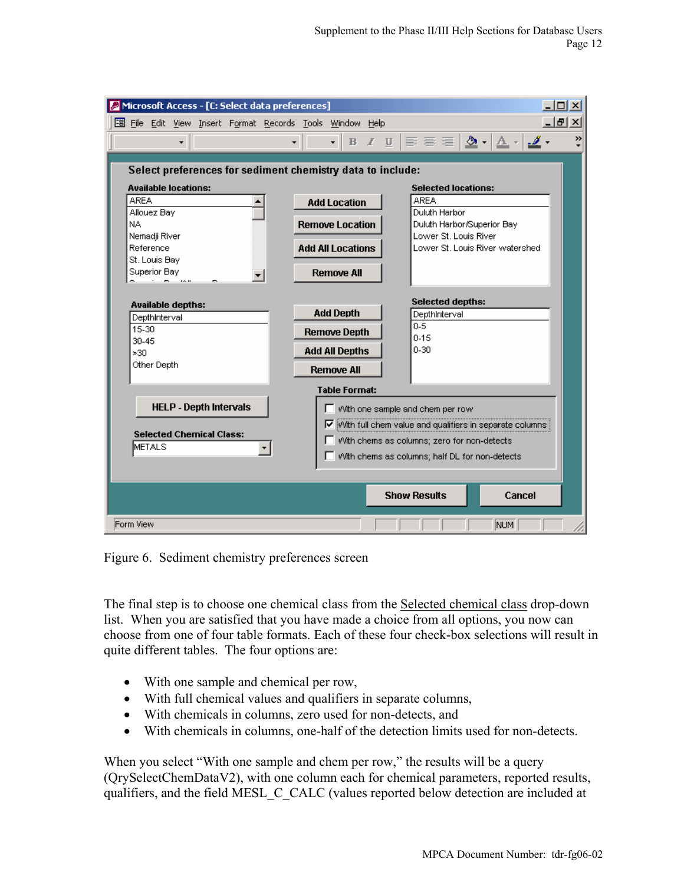| $ \Box$ $\times$ $\Box$<br>Microsoft Access - [C: Select data preferences] |                                         |                                                                                                                                                                                                                                                                                                               |  |  |  |  |  |  |
|----------------------------------------------------------------------------|-----------------------------------------|---------------------------------------------------------------------------------------------------------------------------------------------------------------------------------------------------------------------------------------------------------------------------------------------------------------|--|--|--|--|--|--|
| 图 File Edit View Insert Format Records Tools Window Help                   |                                         | <u>_  리 지</u>                                                                                                                                                                                                                                                                                                 |  |  |  |  |  |  |
| ۰                                                                          | $\overline{\phantom{0}}$<br>$B$ $I$ $U$ | $\mathbb{E} \equiv \mathbb{E}\left[\left.\underline{\boldsymbol{\Phi}}\right.\right.\left.\left.\left.\left.\underline{\boldsymbol{\Lambda}}\right.\right.\right.\left.\left.\underline{\boldsymbol{\Delta}}\right.\right.\left.\left.\right.\right.\left.\underline{\boldsymbol{\Delta}}\right.\right.$<br>» |  |  |  |  |  |  |
|                                                                            |                                         |                                                                                                                                                                                                                                                                                                               |  |  |  |  |  |  |
| Select preferences for sediment chemistry data to include:                 |                                         |                                                                                                                                                                                                                                                                                                               |  |  |  |  |  |  |
| <b>Available locations:</b>                                                |                                         | <b>Selected locations:</b>                                                                                                                                                                                                                                                                                    |  |  |  |  |  |  |
| <b>AREA</b>                                                                | <b>Add Location</b>                     | <b>AREA</b>                                                                                                                                                                                                                                                                                                   |  |  |  |  |  |  |
| Allouez Bay                                                                |                                         | Duluth Harbor                                                                                                                                                                                                                                                                                                 |  |  |  |  |  |  |
| NA.<br>Nemadji River                                                       | <b>Remove Location</b>                  | Duluth Harbor/Superior Bay<br>Lower St. Louis River                                                                                                                                                                                                                                                           |  |  |  |  |  |  |
| Reference                                                                  | <b>Add All Locations</b>                | Lower St. Louis River watershed                                                                                                                                                                                                                                                                               |  |  |  |  |  |  |
| St. Louis Bay                                                              |                                         |                                                                                                                                                                                                                                                                                                               |  |  |  |  |  |  |
| Superior Bay                                                               | <b>Remove All</b>                       |                                                                                                                                                                                                                                                                                                               |  |  |  |  |  |  |
|                                                                            |                                         |                                                                                                                                                                                                                                                                                                               |  |  |  |  |  |  |
| <b>Available depths:</b>                                                   |                                         | <b>Selected depths:</b>                                                                                                                                                                                                                                                                                       |  |  |  |  |  |  |
| DepthInterval                                                              | <b>Add Depth</b>                        | DepthInterval<br>$0 - 5$                                                                                                                                                                                                                                                                                      |  |  |  |  |  |  |
| 15-30                                                                      | <b>Remove Depth</b>                     | $0 - 15$                                                                                                                                                                                                                                                                                                      |  |  |  |  |  |  |
| 30-45<br>>30                                                               | <b>Add All Depths</b>                   | $0 - 30$                                                                                                                                                                                                                                                                                                      |  |  |  |  |  |  |
| Other Depth                                                                |                                         |                                                                                                                                                                                                                                                                                                               |  |  |  |  |  |  |
|                                                                            | <b>Remove All</b>                       |                                                                                                                                                                                                                                                                                                               |  |  |  |  |  |  |
|                                                                            | <b>Table Format:</b>                    |                                                                                                                                                                                                                                                                                                               |  |  |  |  |  |  |
| <b>HELP - Depth Intervals</b>                                              |                                         | With one sample and chem per row                                                                                                                                                                                                                                                                              |  |  |  |  |  |  |
|                                                                            |                                         | $\triangledown$ with full chem value and qualifiers in separate columns                                                                                                                                                                                                                                       |  |  |  |  |  |  |
| <b>Selected Chemical Class:</b>                                            |                                         | With chems as columns; zero for non-detects                                                                                                                                                                                                                                                                   |  |  |  |  |  |  |
| <b>METALS</b>                                                              |                                         | With chems as columns; half DL for non-detects                                                                                                                                                                                                                                                                |  |  |  |  |  |  |
|                                                                            |                                         |                                                                                                                                                                                                                                                                                                               |  |  |  |  |  |  |
|                                                                            |                                         |                                                                                                                                                                                                                                                                                                               |  |  |  |  |  |  |
|                                                                            |                                         | <b>Show Results</b><br>Cancel                                                                                                                                                                                                                                                                                 |  |  |  |  |  |  |
|                                                                            |                                         |                                                                                                                                                                                                                                                                                                               |  |  |  |  |  |  |
| Form View                                                                  |                                         | <b>NUM</b>                                                                                                                                                                                                                                                                                                    |  |  |  |  |  |  |

Figure 6. Sediment chemistry preferences screen

The final step is to choose one chemical class from the Selected chemical class drop-down list. When you are satisfied that you have made a choice from all options, you now can choose from one of four table formats. Each of these four check-box selections will result in quite different tables. The four options are:

- With one sample and chemical per row,
- With full chemical values and qualifiers in separate columns,
- With chemicals in columns, zero used for non-detects, and
- With chemicals in columns, one-half of the detection limits used for non-detects.

When you select "With one sample and chem per row," the results will be a query (QrySelectChemDataV2), with one column each for chemical parameters, reported results, qualifiers, and the field MESL\_C\_CALC (values reported below detection are included at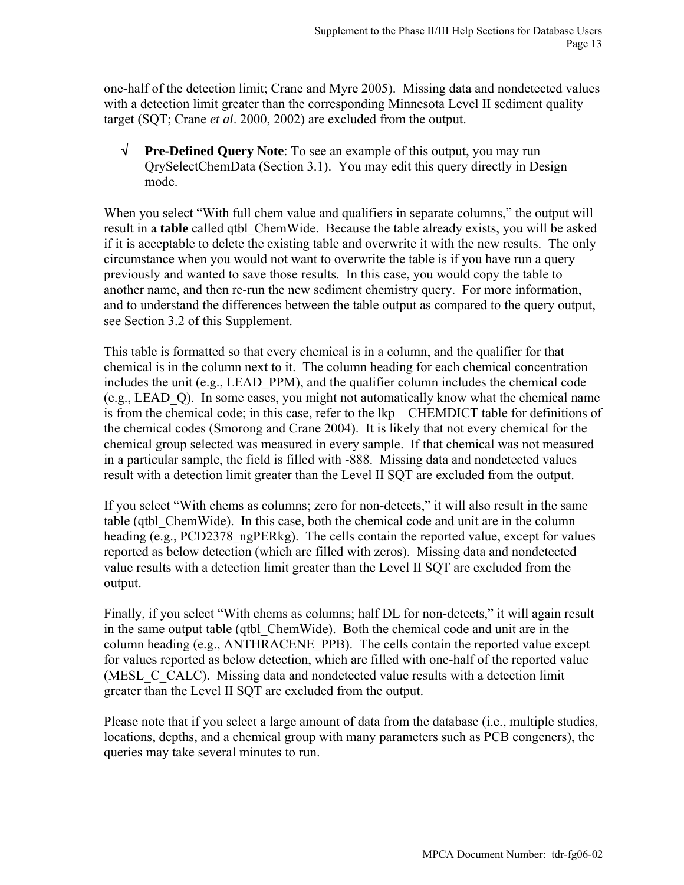one-half of the detection limit; Crane and Myre 2005). Missing data and nondetected values with a detection limit greater than the corresponding Minnesota Level II sediment quality target (SQT; Crane *et al*. 2000, 2002) are excluded from the output.

√ **Pre-Defined Query Note**: To see an example of this output, you may run QrySelectChemData (Section 3.1). You may edit this query directly in Design mode.

When you select "With full chem value and qualifiers in separate columns," the output will result in a **table** called qtbl\_ChemWide. Because the table already exists, you will be asked if it is acceptable to delete the existing table and overwrite it with the new results. The only circumstance when you would not want to overwrite the table is if you have run a query previously and wanted to save those results. In this case, you would copy the table to another name, and then re-run the new sediment chemistry query. For more information, and to understand the differences between the table output as compared to the query output, see Section 3.2 of this Supplement.

This table is formatted so that every chemical is in a column, and the qualifier for that chemical is in the column next to it. The column heading for each chemical concentration includes the unit (e.g., LEAD\_PPM), and the qualifier column includes the chemical code (e.g., LEAD\_Q). In some cases, you might not automatically know what the chemical name is from the chemical code; in this case, refer to the lkp – CHEMDICT table for definitions of the chemical codes (Smorong and Crane 2004). It is likely that not every chemical for the chemical group selected was measured in every sample. If that chemical was not measured in a particular sample, the field is filled with -888. Missing data and nondetected values result with a detection limit greater than the Level II SQT are excluded from the output.

If you select "With chems as columns; zero for non-detects," it will also result in the same table (qtbl\_ChemWide). In this case, both the chemical code and unit are in the column heading (e.g., PCD2378 ngPERkg). The cells contain the reported value, except for values reported as below detection (which are filled with zeros). Missing data and nondetected value results with a detection limit greater than the Level II SQT are excluded from the output.

Finally, if you select "With chems as columns; half DL for non-detects," it will again result in the same output table (qtbl\_ChemWide). Both the chemical code and unit are in the column heading (e.g., ANTHRACENE\_PPB). The cells contain the reported value except for values reported as below detection, which are filled with one-half of the reported value (MESL C CALC). Missing data and nondetected value results with a detection limit greater than the Level II SQT are excluded from the output.

Please note that if you select a large amount of data from the database (i.e., multiple studies, locations, depths, and a chemical group with many parameters such as PCB congeners), the queries may take several minutes to run.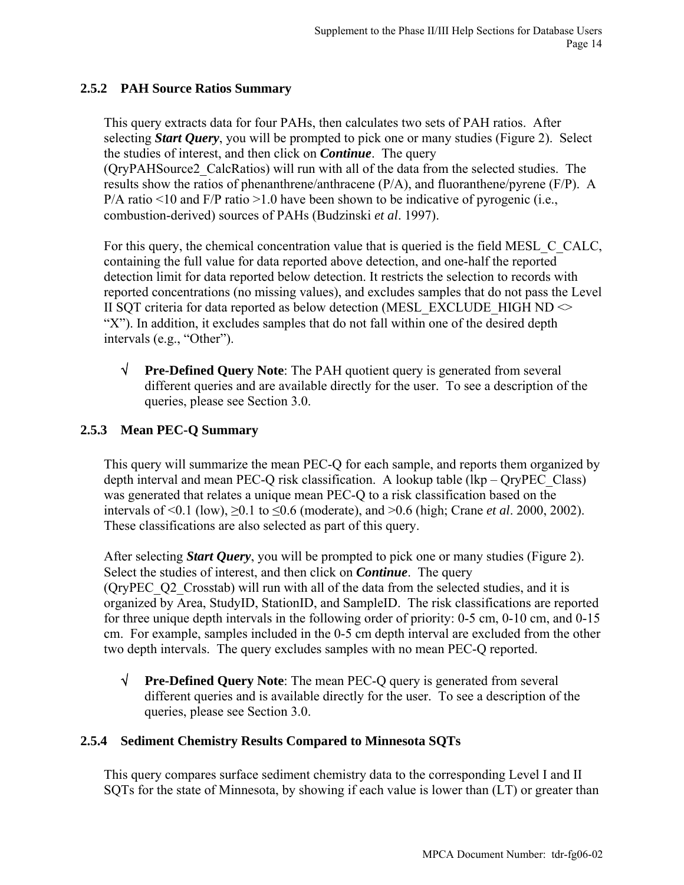### **2.5.2 PAH Source Ratios Summary**

This query extracts data for four PAHs, then calculates two sets of PAH ratios. After selecting *Start Query*, you will be prompted to pick one or many studies (Figure 2). Select the studies of interest, and then click on *Continue*. The query (QryPAHSource2\_CalcRatios) will run with all of the data from the selected studies. The results show the ratios of phenanthrene/anthracene (P/A), and fluoranthene/pyrene (F/P). A  $P/A$  ratio <10 and  $F/P$  ratio >1.0 have been shown to be indicative of pyrogenic (i.e., combustion-derived) sources of PAHs (Budzinski *et al*. 1997).

For this query, the chemical concentration value that is queried is the field MESL C CALC, containing the full value for data reported above detection, and one-half the reported detection limit for data reported below detection. It restricts the selection to records with reported concentrations (no missing values), and excludes samples that do not pass the Level II SQT criteria for data reported as below detection (MESL\_EXCLUDE\_HIGH ND  $\sim$ "X"). In addition, it excludes samples that do not fall within one of the desired depth intervals (e.g., "Other").

√ **Pre-Defined Query Note**: The PAH quotient query is generated from several different queries and are available directly for the user. To see a description of the queries, please see Section 3.0.

## **2.5.3 Mean PEC-Q Summary**

This query will summarize the mean PEC-Q for each sample, and reports them organized by depth interval and mean PEC-Q risk classification. A lookup table (lkp – QryPEC\_Class) was generated that relates a unique mean PEC-Q to a risk classification based on the intervals of <0.1 (low), ≥0.1 to ≤0.6 (moderate), and >0.6 (high; Crane *et al*. 2000, 2002). These classifications are also selected as part of this query.

After selecting *Start Query*, you will be prompted to pick one or many studies (Figure 2). Select the studies of interest, and then click on *Continue*. The query (QryPEC\_Q2\_Crosstab) will run with all of the data from the selected studies, and it is organized by Area, StudyID, StationID, and SampleID. The risk classifications are reported for three unique depth intervals in the following order of priority: 0-5 cm, 0-10 cm, and 0-15 cm. For example, samples included in the 0-5 cm depth interval are excluded from the other two depth intervals. The query excludes samples with no mean PEC-Q reported.

√ **Pre-Defined Query Note**: The mean PEC-Q query is generated from several different queries and is available directly for the user. To see a description of the queries, please see Section 3.0.

### **2.5.4 Sediment Chemistry Results Compared to Minnesota SQTs**

This query compares surface sediment chemistry data to the corresponding Level I and II SQTs for the state of Minnesota, by showing if each value is lower than (LT) or greater than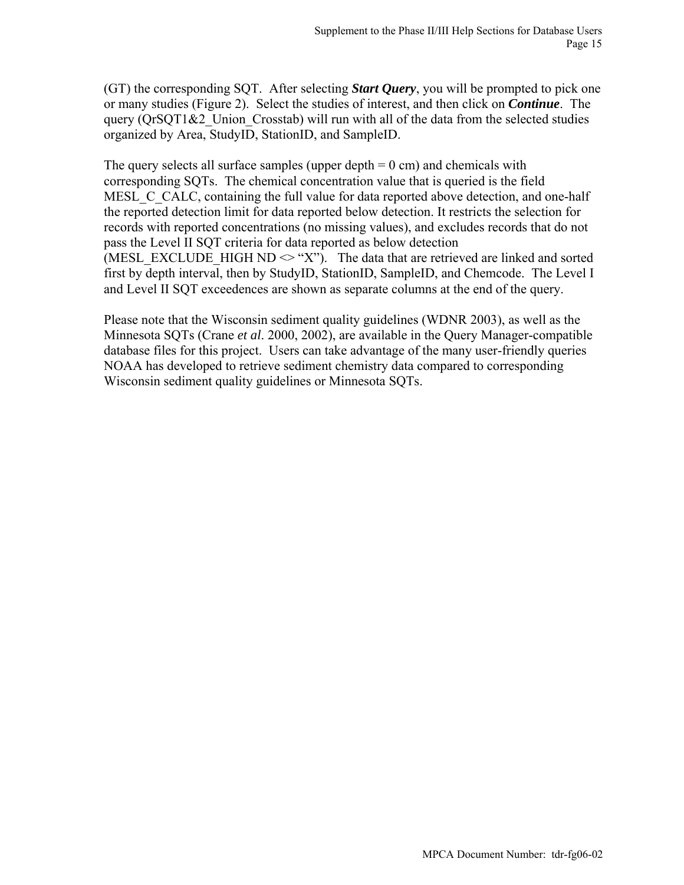(GT) the corresponding SQT. After selecting *Start Query*, you will be prompted to pick one or many studies (Figure 2). Select the studies of interest, and then click on *Continue*. The query ( $QrSQT1&2$  Union Crosstab) will run with all of the data from the selected studies organized by Area, StudyID, StationID, and SampleID.

The query selects all surface samples (upper depth  $= 0$  cm) and chemicals with corresponding SQTs. The chemical concentration value that is queried is the field MESL C CALC, containing the full value for data reported above detection, and one-half the reported detection limit for data reported below detection. It restricts the selection for records with reported concentrations (no missing values), and excludes records that do not pass the Level II SQT criteria for data reported as below detection (MESL\_EXCLUDE\_HIGH ND  $\leq$  "X"). The data that are retrieved are linked and sorted first by depth interval, then by StudyID, StationID, SampleID, and Chemcode. The Level I and Level II SQT exceedences are shown as separate columns at the end of the query.

Please note that the Wisconsin sediment quality guidelines (WDNR 2003), as well as the Minnesota SQTs (Crane *et al*. 2000, 2002), are available in the Query Manager-compatible database files for this project. Users can take advantage of the many user-friendly queries NOAA has developed to retrieve sediment chemistry data compared to corresponding Wisconsin sediment quality guidelines or Minnesota SQTs.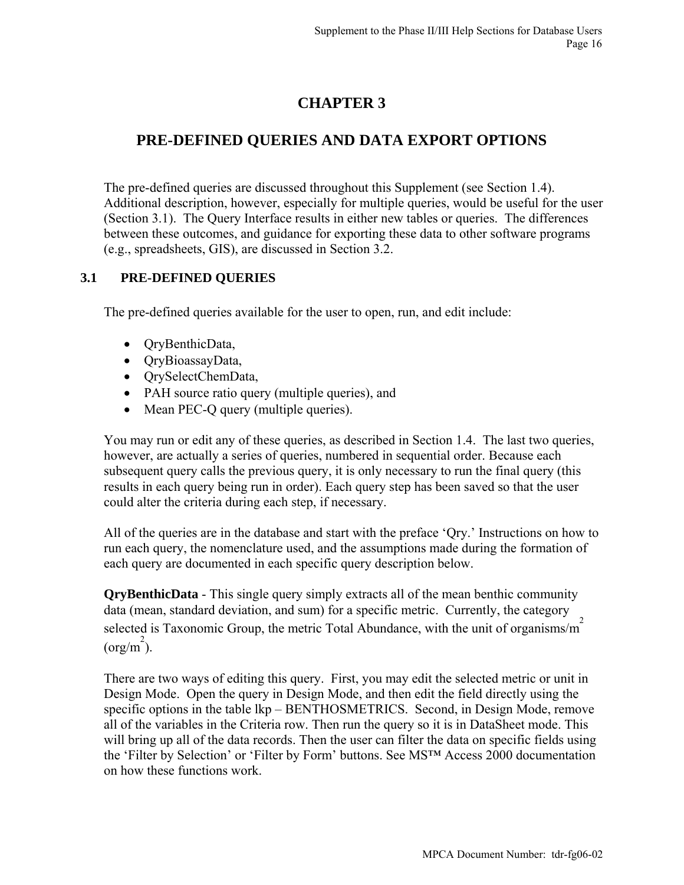# **CHAPTER 3**

# **PRE-DEFINED QUERIES AND DATA EXPORT OPTIONS**

The pre-defined queries are discussed throughout this Supplement (see Section 1.4). Additional description, however, especially for multiple queries, would be useful for the user (Section 3.1). The Query Interface results in either new tables or queries. The differences between these outcomes, and guidance for exporting these data to other software programs (e.g., spreadsheets, GIS), are discussed in Section 3.2.

### **3.1 PRE-DEFINED QUERIES**

The pre-defined queries available for the user to open, run, and edit include:

- QryBenthicData,
- QryBioassayData,
- QrySelectChemData,
- PAH source ratio query (multiple queries), and
- Mean PEC-Q query (multiple queries).

You may run or edit any of these queries, as described in Section 1.4. The last two queries, however, are actually a series of queries, numbered in sequential order. Because each subsequent query calls the previous query, it is only necessary to run the final query (this results in each query being run in order). Each query step has been saved so that the user could alter the criteria during each step, if necessary.

All of the queries are in the database and start with the preface 'Qry.' Instructions on how to run each query, the nomenclature used, and the assumptions made during the formation of each query are documented in each specific query description below.

**QryBenthicData** - This single query simply extracts all of the mean benthic community data (mean, standard deviation, and sum) for a specific metric. Currently, the category selected is Taxonomic Group, the metric Total Abundance, with the unit of organisms/ $\frac{2}{\pi}$  $\frac{2}{\pi}$ (org/m<sup>2</sup>).

There are two ways of editing this query. First, you may edit the selected metric or unit in Design Mode. Open the query in Design Mode, and then edit the field directly using the specific options in the table lkp – BENTHOSMETRICS. Second, in Design Mode, remove all of the variables in the Criteria row. Then run the query so it is in DataSheet mode. This will bring up all of the data records. Then the user can filter the data on specific fields using the 'Filter by Selection' or 'Filter by Form' buttons. See MS™ Access 2000 documentation on how these functions work.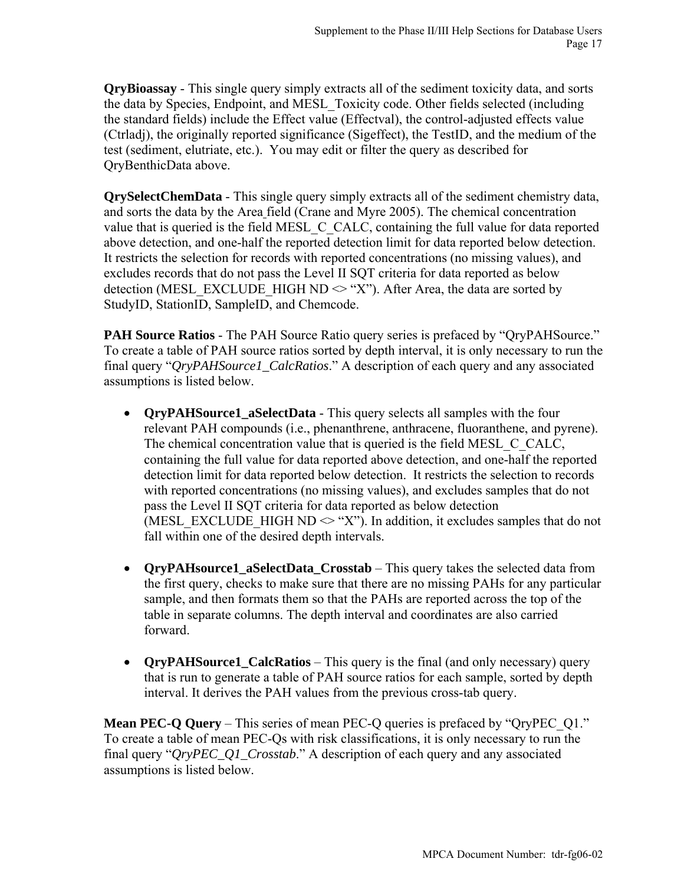**QryBioassay** - This single query simply extracts all of the sediment toxicity data, and sorts the data by Species, Endpoint, and MESL\_Toxicity code. Other fields selected (including the standard fields) include the Effect value (Effectval), the control-adjusted effects value (Ctrladj), the originally reported significance (Sigeffect), the TestID, and the medium of the test (sediment, elutriate, etc.). You may edit or filter the query as described for QryBenthicData above.

**QrySelectChemData** - This single query simply extracts all of the sediment chemistry data, and sorts the data by the Area field (Crane and Myre 2005). The chemical concentration value that is queried is the field MESL C\_CALC, containing the full value for data reported above detection, and one-half the reported detection limit for data reported below detection. It restricts the selection for records with reported concentrations (no missing values), and excludes records that do not pass the Level II SQT criteria for data reported as below detection (MESL\_EXCLUDE\_HIGH ND  $\leq$  "X"). After Area, the data are sorted by StudyID, StationID, SampleID, and Chemcode.

**PAH Source Ratios** - The PAH Source Ratio query series is prefaced by "QryPAHSource." To create a table of PAH source ratios sorted by depth interval, it is only necessary to run the final query "*QryPAHSource1\_CalcRatios*." A description of each query and any associated assumptions is listed below.

- **OryPAHSource1** a**SelectData** This query selects all samples with the four relevant PAH compounds (i.e., phenanthrene, anthracene, fluoranthene, and pyrene). The chemical concentration value that is queried is the field MESL\_C\_CALC, containing the full value for data reported above detection, and one-half the reported detection limit for data reported below detection. It restricts the selection to records with reported concentrations (no missing values), and excludes samples that do not pass the Level II SQT criteria for data reported as below detection (MESL\_EXCLUDE\_HIGH ND  $\leq$  "X"). In addition, it excludes samples that do not fall within one of the desired depth intervals.
- **OryPAHsource1** aSelectData Crosstab This query takes the selected data from the first query, checks to make sure that there are no missing PAHs for any particular sample, and then formats them so that the PAHs are reported across the top of the table in separate columns. The depth interval and coordinates are also carried forward.
- **OryPAHSource1 CalcRatios** This query is the final (and only necessary) query that is run to generate a table of PAH source ratios for each sample, sorted by depth interval. It derives the PAH values from the previous cross-tab query.

**Mean PEC-Q Query** – This series of mean PEC-Q queries is prefaced by "QryPEC Q1." To create a table of mean PEC-Qs with risk classifications, it is only necessary to run the final query "*QryPEC\_Q1\_Crosstab*." A description of each query and any associated assumptions is listed below.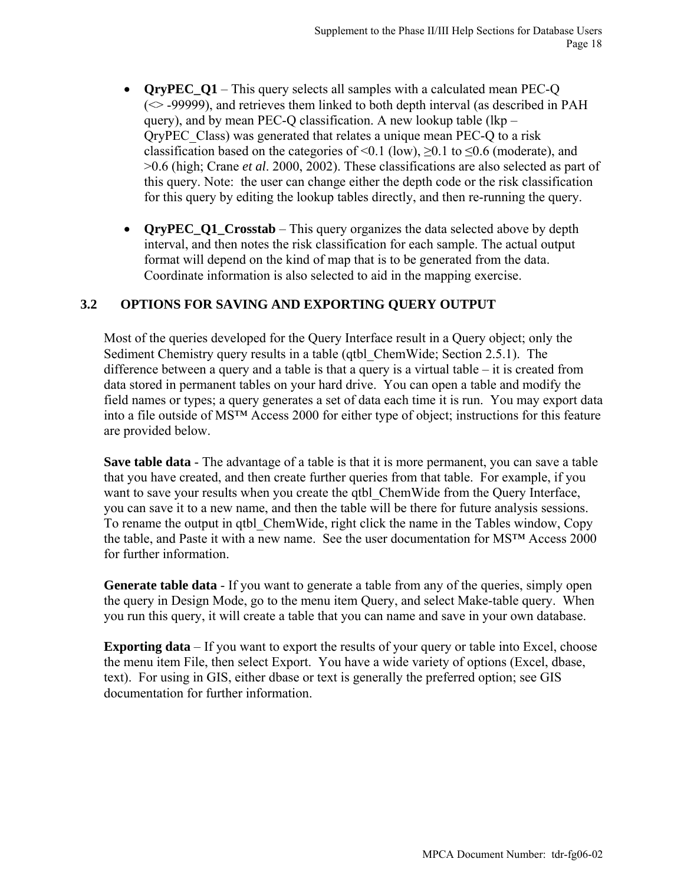- **OryPEC** Q1 This query selects all samples with a calculated mean PEC-Q  $(\sim$  -99999), and retrieves them linked to both depth interval (as described in PAH query), and by mean PEC-Q classification. A new lookup table (lkp – QryPEC\_Class) was generated that relates a unique mean PEC-Q to a risk classification based on the categories of <0.1 (low),  $\geq$ 0.1 to  $\leq$ 0.6 (moderate), and >0.6 (high; Crane *et al*. 2000, 2002). These classifications are also selected as part of this query. Note: the user can change either the depth code or the risk classification for this query by editing the lookup tables directly, and then re-running the query.
- **QryPEC\_Q1\_Crosstab** This query organizes the data selected above by depth interval, and then notes the risk classification for each sample. The actual output format will depend on the kind of map that is to be generated from the data. Coordinate information is also selected to aid in the mapping exercise.

### **3.2 OPTIONS FOR SAVING AND EXPORTING QUERY OUTPUT**

Most of the queries developed for the Query Interface result in a Query object; only the Sediment Chemistry query results in a table (qtbl\_ChemWide; Section 2.5.1). The difference between a query and a table is that a query is a virtual table  $-$  it is created from data stored in permanent tables on your hard drive. You can open a table and modify the field names or types; a query generates a set of data each time it is run. You may export data into a file outside of MS™ Access 2000 for either type of object; instructions for this feature are provided below.

**Save table data** - The advantage of a table is that it is more permanent, you can save a table that you have created, and then create further queries from that table. For example, if you want to save your results when you create the qtbl ChemWide from the Query Interface, you can save it to a new name, and then the table will be there for future analysis sessions. To rename the output in qtbl\_ChemWide, right click the name in the Tables window, Copy the table, and Paste it with a new name. See the user documentation for MS™ Access 2000 for further information.

**Generate table data** - If you want to generate a table from any of the queries, simply open the query in Design Mode, go to the menu item Query, and select Make-table query. When you run this query, it will create a table that you can name and save in your own database.

**Exporting data** – If you want to export the results of your query or table into Excel, choose the menu item File, then select Export. You have a wide variety of options (Excel, dbase, text). For using in GIS, either dbase or text is generally the preferred option; see GIS documentation for further information.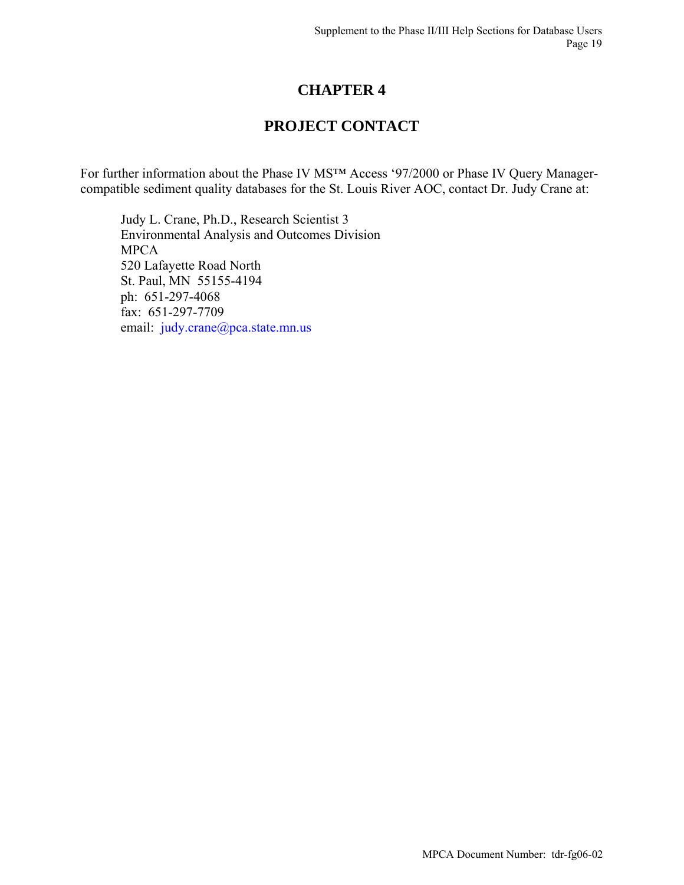# **CHAPTER 4**

# **PROJECT CONTACT**

For further information about the Phase IV MS™ Access '97/2000 or Phase IV Query Managercompatible sediment quality databases for the St. Louis River AOC, contact Dr. Judy Crane at:

Judy L. Crane, Ph.D., Research Scientist 3 Environmental Analysis and Outcomes Division MPCA 520 Lafayette Road North St. Paul, MN 55155-4194 ph: 651-297-4068 fax: 651-297-7709 email: [judy.crane@pca.state.mn.us](mailto:judy.crane@pca.state.mn.us)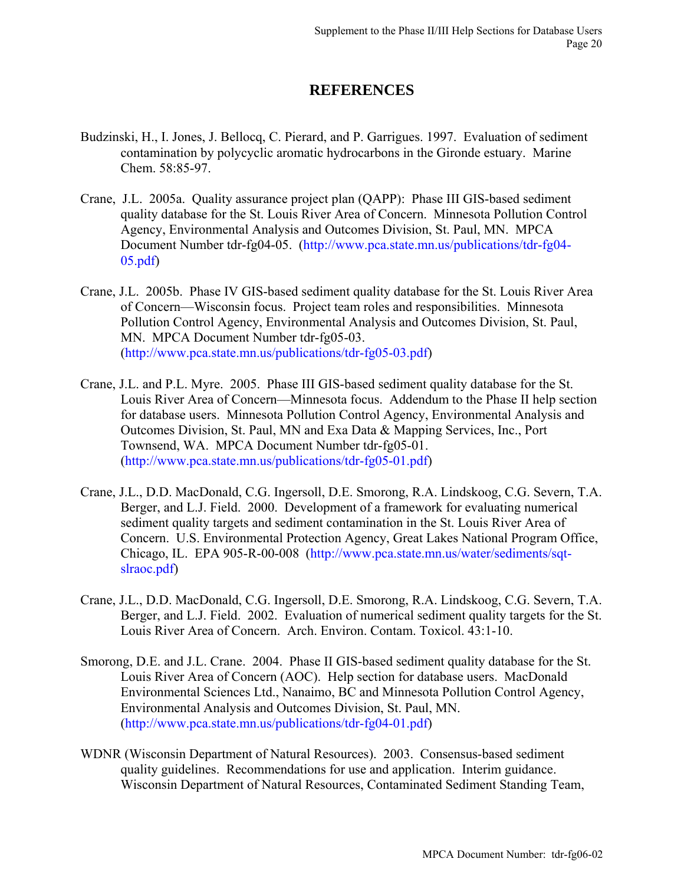## **REFERENCES**

- Budzinski, H., I. Jones, J. Bellocq, C. Pierard, and P. Garrigues. 1997. Evaluation of sediment contamination by polycyclic aromatic hydrocarbons in the Gironde estuary. Marine Chem. 58:85-97.
- Crane, J.L. 2005a. Quality assurance project plan (QAPP): Phase III GIS-based sediment quality database for the St. Louis River Area of Concern. Minnesota Pollution Control Agency, Environmental Analysis and Outcomes Division, St. Paul, MN. MPCA Document Number tdr-fg04-05. ([http://www.pca.state.mn.us/publications/tdr-fg04-](http://www.pca.state.mn.us/publications/tdr-fg04-05.pdf) [05.pdf\)](http://www.pca.state.mn.us/publications/tdr-fg04-05.pdf)
- Crane, J.L. 2005b. Phase IV GIS-based sediment quality database for the St. Louis River Area of Concern—Wisconsin focus. Project team roles and responsibilities. Minnesota Pollution Control Agency, Environmental Analysis and Outcomes Division, St. Paul, MN. MPCA Document Number tdr-fg05-03. ([http://www.pca.state.mn.us/publications/tdr-fg05-03.pdf\)](http://www.pca.state.mn.us/publications/tdr-fg05-03.pdf)
- Crane, J.L. and P.L. Myre. 2005. Phase III GIS-based sediment quality database for the St. Louis River Area of Concern—Minnesota focus. Addendum to the Phase II help section for database users. Minnesota Pollution Control Agency, Environmental Analysis and Outcomes Division, St. Paul, MN and Exa Data & Mapping Services, Inc., Port Townsend, WA. MPCA Document Number tdr-fg05-01. ([http://www.pca.state.mn.us/publications/tdr-fg05-01.pdf\)](http://www.pca.state.mn.us/publications/tdr-fg05-01.pdf)
- Crane, J.L., D.D. MacDonald, C.G. Ingersoll, D.E. Smorong, R.A. Lindskoog, C.G. Severn, T.A. Berger, and L.J. Field. 2000. Development of a framework for evaluating numerical sediment quality targets and sediment contamination in the St. Louis River Area of Concern. U.S. Environmental Protection Agency, Great Lakes National Program Office, Chicago, IL. EPA 905-R-00-008 ([http://www.pca.state.mn.us/water/sediments/sqt](http://www.pca.state.mn.us/water/sediments/sqt-slraoc.pdf)[slraoc.pdf\)](http://www.pca.state.mn.us/water/sediments/sqt-slraoc.pdf)
- Crane, J.L., D.D. MacDonald, C.G. Ingersoll, D.E. Smorong, R.A. Lindskoog, C.G. Severn, T.A. Berger, and L.J. Field. 2002. Evaluation of numerical sediment quality targets for the St. Louis River Area of Concern. Arch. Environ. Contam. Toxicol. 43:1-10.
- Smorong, D.E. and J.L. Crane. 2004. Phase II GIS-based sediment quality database for the St. Louis River Area of Concern (AOC). Help section for database users. MacDonald Environmental Sciences Ltd., Nanaimo, BC and Minnesota Pollution Control Agency, Environmental Analysis and Outcomes Division, St. Paul, MN. ([http://www.pca.state.mn.us/publications/tdr-fg04-01.pdf\)](http://www.pca.state.mn.us/publications/tdr-fg04-01.pdf)
- WDNR (Wisconsin Department of Natural Resources). 2003. Consensus-based sediment quality guidelines. Recommendations for use and application. Interim guidance. Wisconsin Department of Natural Resources, Contaminated Sediment Standing Team,